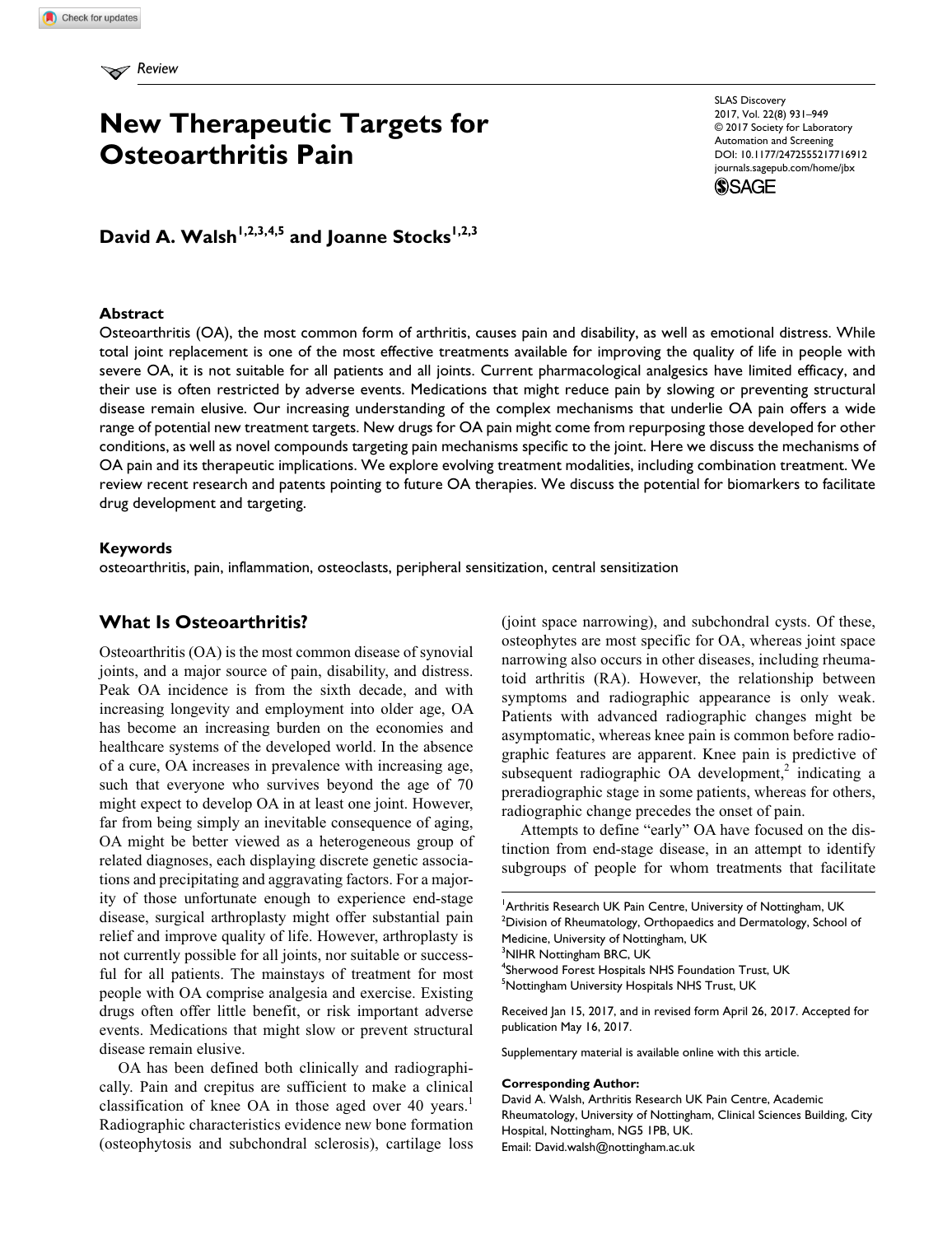# **New Therapeutic Targets for Osteoarthritis Pain**

https://doi.org/10.1177/2472555217716912 DOI: 10.1177/2472555217716912 SLAS Discovery 2017, Vol. 22(8) 931–949 © 2017 Society for Laboratory Automation and Screening [journals.sagepub.com/home/jbx](http://journals.sagepub.com/home/jbx)



# David A. Walsh<sup>1,2,3,4,5</sup> and Joanne Stocks<sup>1,2,3</sup>

# **Abstract**

Osteoarthritis (OA), the most common form of arthritis, causes pain and disability, as well as emotional distress. While total joint replacement is one of the most effective treatments available for improving the quality of life in people with severe OA, it is not suitable for all patients and all joints. Current pharmacological analgesics have limited efficacy, and their use is often restricted by adverse events. Medications that might reduce pain by slowing or preventing structural disease remain elusive. Our increasing understanding of the complex mechanisms that underlie OA pain offers a wide range of potential new treatment targets. New drugs for OA pain might come from repurposing those developed for other conditions, as well as novel compounds targeting pain mechanisms specific to the joint. Here we discuss the mechanisms of OA pain and its therapeutic implications. We explore evolving treatment modalities, including combination treatment. We review recent research and patents pointing to future OA therapies. We discuss the potential for biomarkers to facilitate drug development and targeting.

#### **Keywords**

osteoarthritis, pain, inflammation, osteoclasts, peripheral sensitization, central sensitization

# **What Is Osteoarthritis?**

Osteoarthritis (OA) is the most common disease of synovial joints, and a major source of pain, disability, and distress. Peak OA incidence is from the sixth decade, and with increasing longevity and employment into older age, OA has become an increasing burden on the economies and healthcare systems of the developed world. In the absence of a cure, OA increases in prevalence with increasing age, such that everyone who survives beyond the age of 70 might expect to develop OA in at least one joint. However, far from being simply an inevitable consequence of aging, OA might be better viewed as a heterogeneous group of related diagnoses, each displaying discrete genetic associations and precipitating and aggravating factors. For a majority of those unfortunate enough to experience end-stage disease, surgical arthroplasty might offer substantial pain relief and improve quality of life. However, arthroplasty is not currently possible for all joints, nor suitable or successful for all patients. The mainstays of treatment for most people with OA comprise analgesia and exercise. Existing drugs often offer little benefit, or risk important adverse events. Medications that might slow or prevent structural disease remain elusive.

OA has been defined both clinically and radiographically. Pain and crepitus are sufficient to make a clinical classification of knee OA in those aged over  $40$  years.<sup>1</sup> Radiographic characteristics evidence new bone formation (osteophytosis and subchondral sclerosis), cartilage loss

(joint space narrowing), and subchondral cysts. Of these, osteophytes are most specific for OA, whereas joint space narrowing also occurs in other diseases, including rheumatoid arthritis (RA). However, the relationship between symptoms and radiographic appearance is only weak. Patients with advanced radiographic changes might be asymptomatic, whereas knee pain is common before radiographic features are apparent. Knee pain is predictive of subsequent radiographic OA development,<sup>2</sup> indicating a preradiographic stage in some patients, whereas for others, radiographic change precedes the onset of pain.

Attempts to define "early" OA have focused on the distinction from end-stage disease, in an attempt to identify subgroups of people for whom treatments that facilitate

<sup>1</sup> Arthritis Research UK Pain Centre, University of Nottingham, UK  $^{2}$ Division of Rheumatology, Orthopaedics and Dermatology, School of Medicine, University of Nottingham, UK <sup>3</sup>NIHR Nottingham BRC, UK 4 Sherwood Forest Hospitals NHS Foundation Trust, UK

<sup>5</sup>Nottingham University Hospitals NHS Trust, UK

Received Jan 15, 2017, and in revised form April 26, 2017. Accepted for publication May 16, 2017.

Supplementary material is available online with this article.

#### **Corresponding Author:**

David A. Walsh, Arthritis Research UK Pain Centre, Academic Rheumatology, University of Nottingham, Clinical Sciences Building, City Hospital, Nottingham, NG5 1PB, UK. Email: [David.walsh@nottingham.ac.uk](mailto:David.walsh@nottingham.ac.uk)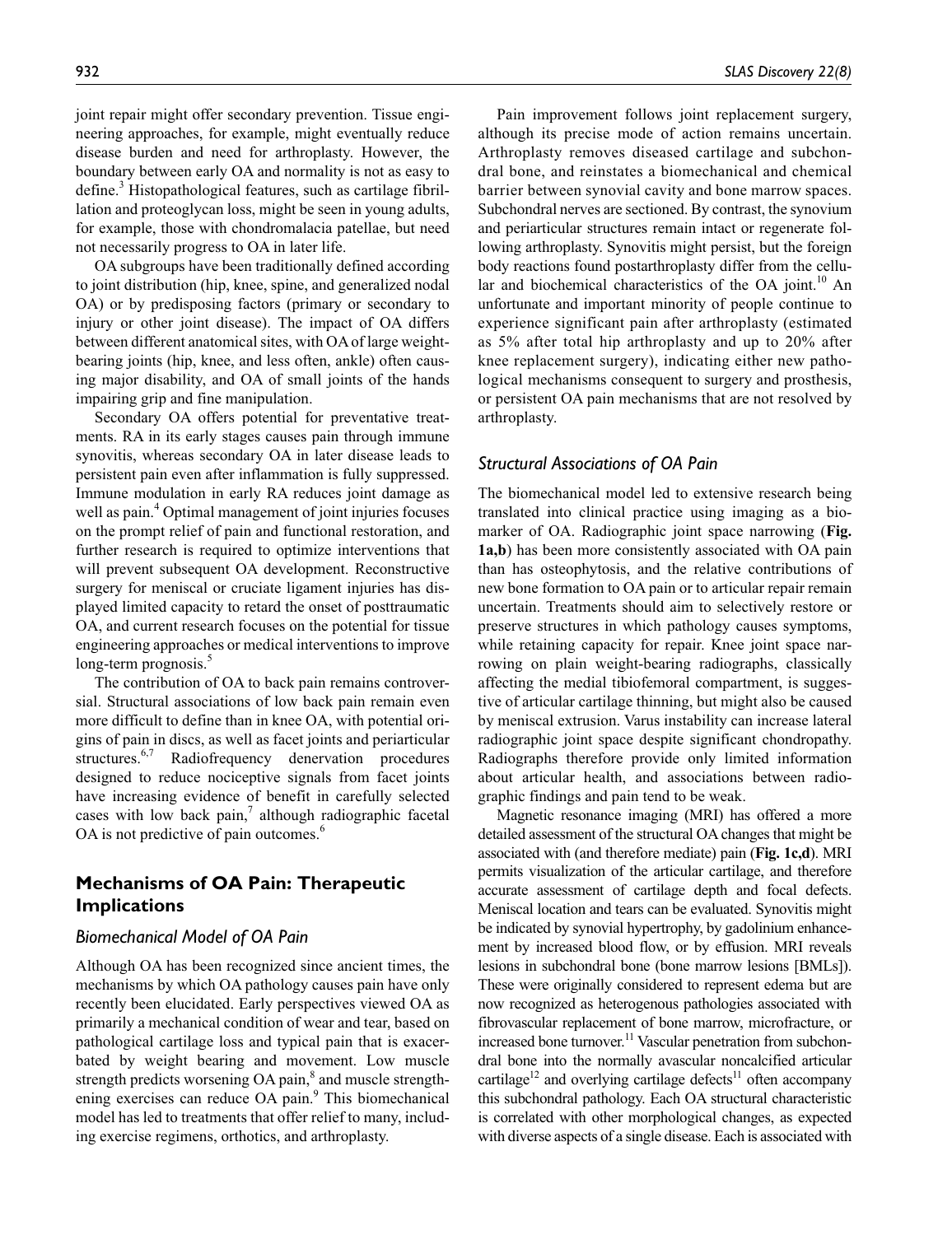joint repair might offer secondary prevention. Tissue engineering approaches, for example, might eventually reduce disease burden and need for arthroplasty. However, the boundary between early OA and normality is not as easy to define.<sup>3</sup> Histopathological features, such as cartilage fibrillation and proteoglycan loss, might be seen in young adults, for example, those with chondromalacia patellae, but need not necessarily progress to OA in later life.

OA subgroups have been traditionally defined according to joint distribution (hip, knee, spine, and generalized nodal OA) or by predisposing factors (primary or secondary to injury or other joint disease). The impact of OA differs between different anatomical sites, with OA of large weightbearing joints (hip, knee, and less often, ankle) often causing major disability, and OA of small joints of the hands impairing grip and fine manipulation.

Secondary OA offers potential for preventative treatments. RA in its early stages causes pain through immune synovitis, whereas secondary OA in later disease leads to persistent pain even after inflammation is fully suppressed. Immune modulation in early RA reduces joint damage as well as pain.<sup>4</sup> Optimal management of joint injuries focuses on the prompt relief of pain and functional restoration, and further research is required to optimize interventions that will prevent subsequent OA development. Reconstructive surgery for meniscal or cruciate ligament injuries has displayed limited capacity to retard the onset of posttraumatic OA, and current research focuses on the potential for tissue engineering approaches or medical interventions to improve long-term prognosis.<sup>5</sup>

The contribution of OA to back pain remains controversial. Structural associations of low back pain remain even more difficult to define than in knee OA, with potential origins of pain in discs, as well as facet joints and periarticular structures.<sup>6,7</sup> Radiofrequency denervation procedures designed to reduce nociceptive signals from facet joints have increasing evidence of benefit in carefully selected cases with low back pain, $\frac{7}{7}$  although radiographic facetal OA is not predictive of pain outcomes.<sup>6</sup>

# **Mechanisms of OA Pain: Therapeutic Implications**

# *Biomechanical Model of OA Pain*

Although OA has been recognized since ancient times, the mechanisms by which OA pathology causes pain have only recently been elucidated. Early perspectives viewed OA as primarily a mechanical condition of wear and tear, based on pathological cartilage loss and typical pain that is exacerbated by weight bearing and movement. Low muscle strength predicts worsening OA pain,<sup>8</sup> and muscle strengthening exercises can reduce OA pain.<sup>9</sup> This biomechanical model has led to treatments that offer relief to many, including exercise regimens, orthotics, and arthroplasty.

Pain improvement follows joint replacement surgery, although its precise mode of action remains uncertain. Arthroplasty removes diseased cartilage and subchondral bone, and reinstates a biomechanical and chemical barrier between synovial cavity and bone marrow spaces. Subchondral nerves are sectioned. By contrast, the synovium and periarticular structures remain intact or regenerate following arthroplasty. Synovitis might persist, but the foreign body reactions found postarthroplasty differ from the cellular and biochemical characteristics of the OA joint.<sup>10</sup> An unfortunate and important minority of people continue to experience significant pain after arthroplasty (estimated as 5% after total hip arthroplasty and up to 20% after knee replacement surgery), indicating either new pathological mechanisms consequent to surgery and prosthesis, or persistent OA pain mechanisms that are not resolved by arthroplasty.

#### *Structural Associations of OA Pain*

The biomechanical model led to extensive research being translated into clinical practice using imaging as a biomarker of OA. Radiographic joint space narrowing (**Fig. 1a,b**) has been more consistently associated with OA pain than has osteophytosis, and the relative contributions of new bone formation to OA pain or to articular repair remain uncertain. Treatments should aim to selectively restore or preserve structures in which pathology causes symptoms, while retaining capacity for repair. Knee joint space narrowing on plain weight-bearing radiographs, classically affecting the medial tibiofemoral compartment, is suggestive of articular cartilage thinning, but might also be caused by meniscal extrusion. Varus instability can increase lateral radiographic joint space despite significant chondropathy. Radiographs therefore provide only limited information about articular health, and associations between radiographic findings and pain tend to be weak.

Magnetic resonance imaging (MRI) has offered a more detailed assessment of the structural OA changes that might be associated with (and therefore mediate) pain (**Fig. 1c,d**). MRI permits visualization of the articular cartilage, and therefore accurate assessment of cartilage depth and focal defects. Meniscal location and tears can be evaluated. Synovitis might be indicated by synovial hypertrophy, by gadolinium enhancement by increased blood flow, or by effusion. MRI reveals lesions in subchondral bone (bone marrow lesions [BMLs]). These were originally considered to represent edema but are now recognized as heterogenous pathologies associated with fibrovascular replacement of bone marrow, microfracture, or increased bone turnover.<sup>11</sup> Vascular penetration from subchondral bone into the normally avascular noncalcified articular cartilage<sup>12</sup> and overlying cartilage defects<sup>11</sup> often accompany this subchondral pathology. Each OA structural characteristic is correlated with other morphological changes, as expected with diverse aspects of a single disease. Each is associated with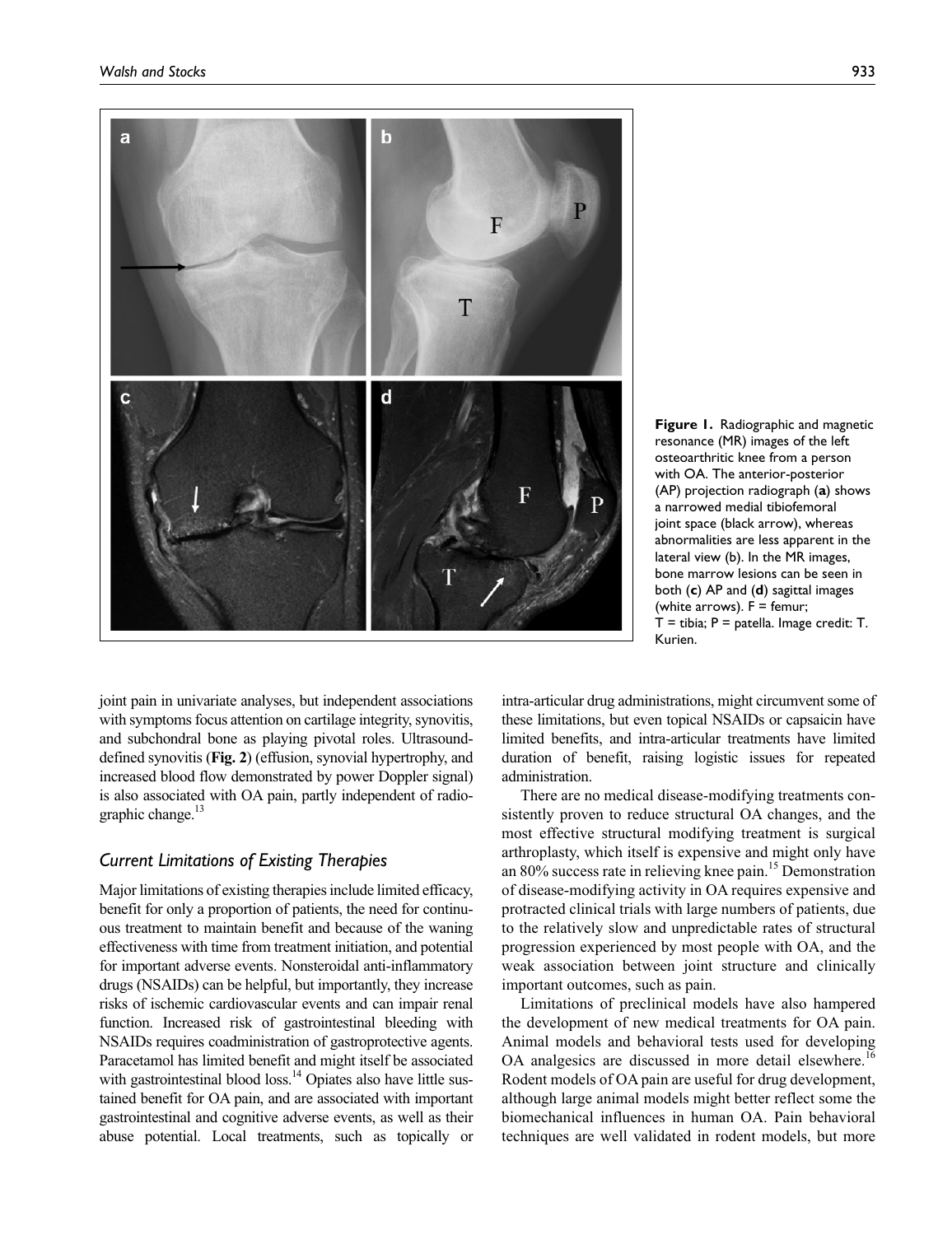

**Figure 1.** Radiographic and magnetic resonance (MR) images of the left osteoarthritic knee from a person with OA. The anterior-posterior (AP) projection radiograph (**a**) shows a narrowed medial tibiofemoral joint space (black arrow), whereas abnormalities are less apparent in the lateral view (b). In the MR images, bone marrow lesions can be seen in both (**c**) AP and (**d**) sagittal images (white arrows).  $F =$  femur;  $T =$  tibia;  $P =$  patella. Image credit:  $T$ . Kurien.

joint pain in univariate analyses, but independent associations with symptoms focus attention on cartilage integrity, synovitis, and subchondral bone as playing pivotal roles. Ultrasounddefined synovitis (**Fig. 2**) (effusion, synovial hypertrophy, and increased blood flow demonstrated by power Doppler signal) is also associated with OA pain, partly independent of radiographic change. $13$ 

# *Current Limitations of Existing Therapies*

Major limitations of existing therapies include limited efficacy, benefit for only a proportion of patients, the need for continuous treatment to maintain benefit and because of the waning effectiveness with time from treatment initiation, and potential for important adverse events. Nonsteroidal anti-inflammatory drugs (NSAIDs) can be helpful, but importantly, they increase risks of ischemic cardiovascular events and can impair renal function. Increased risk of gastrointestinal bleeding with NSAIDs requires coadministration of gastroprotective agents. Paracetamol has limited benefit and might itself be associated with gastrointestinal blood loss. $14$  Opiates also have little sustained benefit for OA pain, and are associated with important gastrointestinal and cognitive adverse events, as well as their abuse potential. Local treatments, such as topically or intra-articular drug administrations, might circumvent some of these limitations, but even topical NSAIDs or capsaicin have limited benefits, and intra-articular treatments have limited duration of benefit, raising logistic issues for repeated administration.

There are no medical disease-modifying treatments consistently proven to reduce structural OA changes, and the most effective structural modifying treatment is surgical arthroplasty, which itself is expensive and might only have an 80% success rate in relieving knee pain.<sup>15</sup> Demonstration of disease-modifying activity in OA requires expensive and protracted clinical trials with large numbers of patients, due to the relatively slow and unpredictable rates of structural progression experienced by most people with OA, and the weak association between joint structure and clinically important outcomes, such as pain.

Limitations of preclinical models have also hampered the development of new medical treatments for OA pain. Animal models and behavioral tests used for developing OA analgesics are discussed in more detail elsewhere.<sup>16</sup> Rodent models of OA pain are useful for drug development, although large animal models might better reflect some the biomechanical influences in human OA. Pain behavioral techniques are well validated in rodent models, but more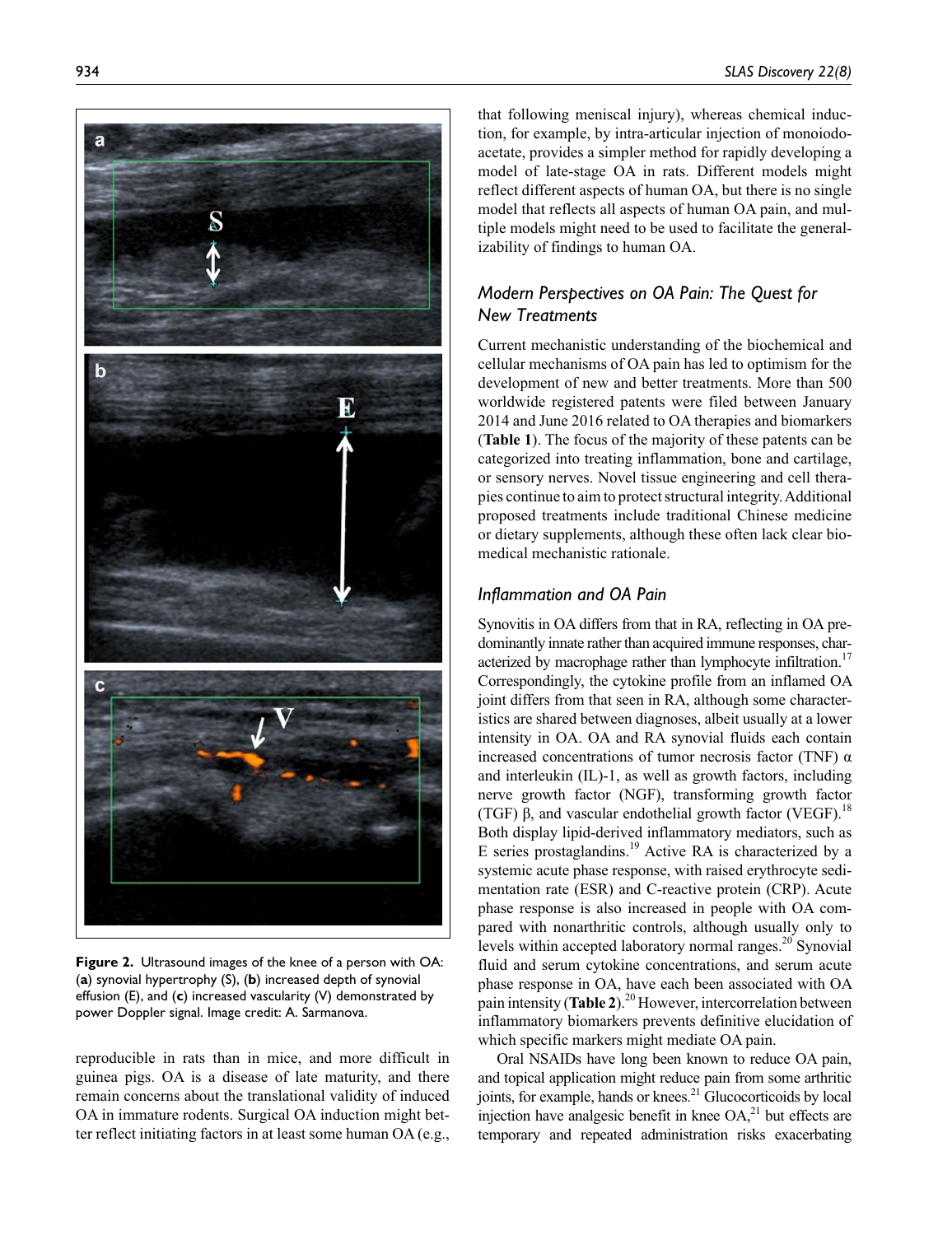

**Figure 2.** Ultrasound images of the knee of a person with OA: (**a**) synovial hypertrophy (S), (**b**) increased depth of synovial effusion (E), and (**c**) increased vascularity (V) demonstrated by power Doppler signal. Image credit: A. Sarmanova.

reproducible in rats than in mice, and more difficult in guinea pigs. OA is a disease of late maturity, and there remain concerns about the translational validity of induced OA in immature rodents. Surgical OA induction might better reflect initiating factors in at least some human OA (e.g.,

that following meniscal injury), whereas chemical induction, for example, by intra-articular injection of monoiodoacetate, provides a simpler method for rapidly developing a model of late-stage OA in rats. Different models might reflect different aspects of human OA, but there is no single model that reflects all aspects of human OA pain, and multiple models might need to be used to facilitate the generalizability of findings to human OA.

# *Modern Perspectives on OA Pain: The Quest for New Treatments*

Current mechanistic understanding of the biochemical and cellular mechanisms of OA pain has led to optimism for the development of new and better treatments. More than 500 worldwide registered patents were filed between January 2014 and June 2016 related to OA therapies and biomarkers (**Table 1**). The focus of the majority of these patents can be categorized into treating inflammation, bone and cartilage, or sensory nerves. Novel tissue engineering and cell therapies continue to aim to protect structural integrity. Additional proposed treatments include traditional Chinese medicine or dietary supplements, although these often lack clear biomedical mechanistic rationale.

# *Inflammation and OA Pain*

Synovitis in OA differs from that in RA, reflecting in OA predominantly innate rather than acquired immune responses, characterized by macrophage rather than lymphocyte infiltration.<sup>17</sup> Correspondingly, the cytokine profile from an inflamed OA joint differs from that seen in RA, although some characteristics are shared between diagnoses, albeit usually at a lower intensity in OA. OA and RA synovial fluids each contain increased concentrations of tumor necrosis factor (TNF) α and interleukin (IL)-1, as well as growth factors, including nerve growth factor (NGF), transforming growth factor (TGF)  $\beta$ , and vascular endothelial growth factor (VEGF).<sup>18</sup> Both display lipid-derived inflammatory mediators, such as E series prostaglandins.<sup>19</sup> Active RA is characterized by a systemic acute phase response, with raised erythrocyte sedimentation rate (ESR) and C-reactive protein (CRP). Acute phase response is also increased in people with OA compared with nonarthritic controls, although usually only to levels within accepted laboratory normal ranges.<sup>20</sup> Synovial fluid and serum cytokine concentrations, and serum acute phase response in OA, have each been associated with OA pain intensity (**Table 2**).20 However, intercorrelation between inflammatory biomarkers prevents definitive elucidation of which specific markers might mediate OA pain.

Oral NSAIDs have long been known to reduce OA pain, and topical application might reduce pain from some arthritic joints, for example, hands or knees. $^{21}$  Glucocorticoids by local injection have analgesic benefit in knee OA,<sup>21</sup> but effects are temporary and repeated administration risks exacerbating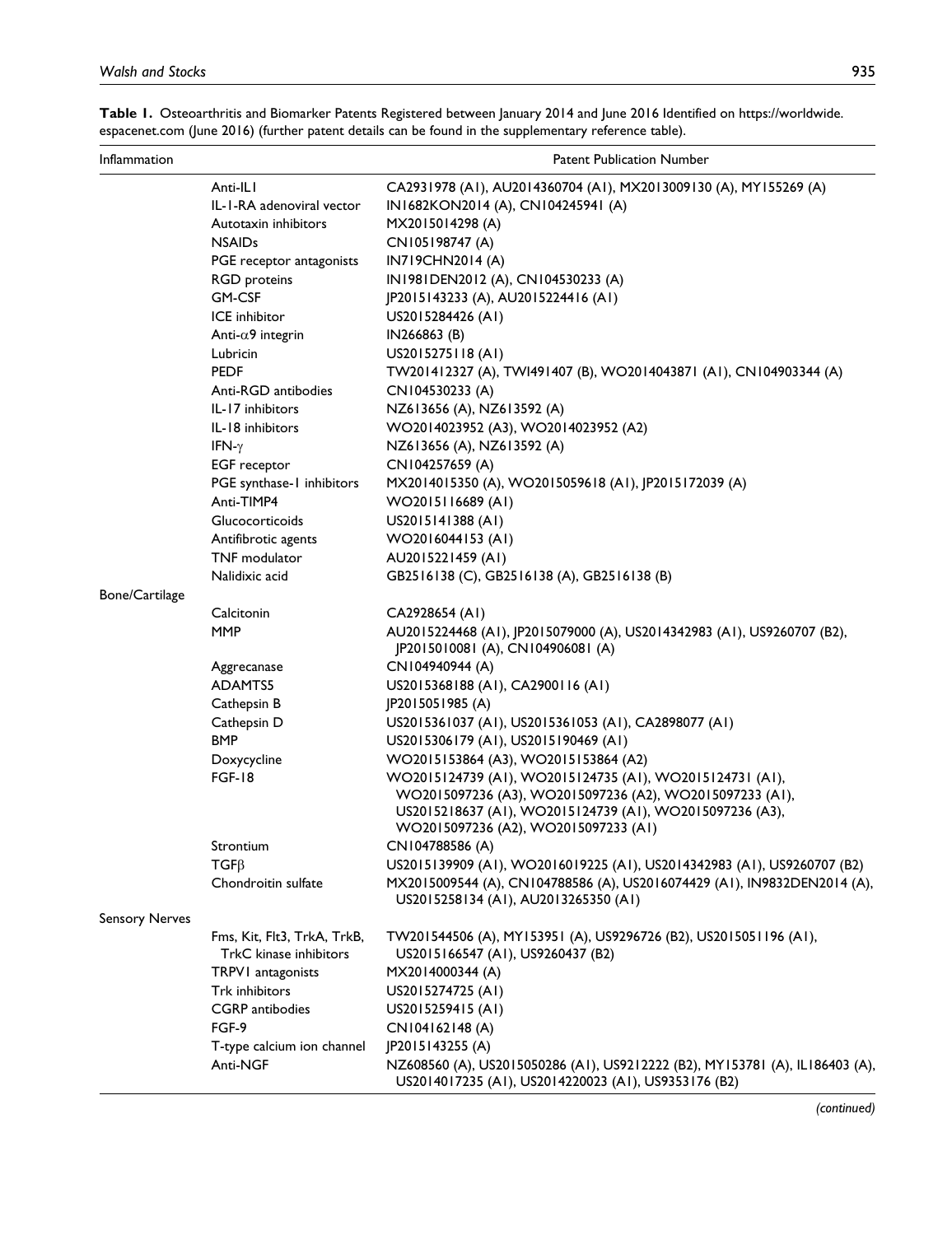| Inflammation          |                                                       | <b>Patent Publication Number</b>                                                                                                                                                                                         |
|-----------------------|-------------------------------------------------------|--------------------------------------------------------------------------------------------------------------------------------------------------------------------------------------------------------------------------|
|                       | Anti-ILI                                              | CA2931978 (A1), AU2014360704 (A1), MX2013009130 (A), MY155269 (A)                                                                                                                                                        |
|                       | IL-I-RA adenoviral vector                             | IN1682KON2014 (A), CN104245941 (A)                                                                                                                                                                                       |
|                       | Autotaxin inhibitors                                  | MX2015014298 (A)                                                                                                                                                                                                         |
|                       | <b>NSAIDs</b>                                         | CN105198747 (A)                                                                                                                                                                                                          |
|                       | PGE receptor antagonists                              | IN719CHN2014 (A)                                                                                                                                                                                                         |
|                       | <b>RGD</b> proteins                                   | IN1981DEN2012 (A), CN104530233 (A)                                                                                                                                                                                       |
|                       | <b>GM-CSF</b>                                         | JP2015143233 (A), AU2015224416 (A1)                                                                                                                                                                                      |
|                       | ICE inhibitor                                         | US2015284426 (AI)                                                                                                                                                                                                        |
|                       | Anti- $\alpha$ 9 integrin                             | IN266863 (B)                                                                                                                                                                                                             |
|                       | Lubricin                                              | US2015275118 (AI)                                                                                                                                                                                                        |
|                       | <b>PEDF</b>                                           | TW201412327 (A), TWI491407 (B), WO2014043871 (A1), CN104903344 (A)                                                                                                                                                       |
|                       | Anti-RGD antibodies                                   | CN104530233 (A)                                                                                                                                                                                                          |
|                       | IL-17 inhibitors                                      | NZ613656 (A), NZ613592 (A)                                                                                                                                                                                               |
|                       | IL-18 inhibitors                                      | WO2014023952 (A3), WO2014023952 (A2)                                                                                                                                                                                     |
|                       | IFN- $\gamma$                                         | NZ613656 (A), NZ613592 (A)                                                                                                                                                                                               |
|                       | <b>EGF</b> receptor                                   | CN104257659 (A)                                                                                                                                                                                                          |
|                       | PGE synthase-1 inhibitors                             | MX2014015350 (A), WO2015059618 (A1), JP2015172039 (A)                                                                                                                                                                    |
|                       | Anti-TIMP4                                            | WO2015116689 (AI)                                                                                                                                                                                                        |
|                       | Glucocorticoids                                       | US2015141388 (AI)                                                                                                                                                                                                        |
|                       | Antifibrotic agents                                   | WO2016044153 (AI)                                                                                                                                                                                                        |
|                       | TNF modulator                                         | AU2015221459 (AI)                                                                                                                                                                                                        |
|                       | Nalidixic acid                                        | GB2516138 (C), GB2516138 (A), GB2516138 (B)                                                                                                                                                                              |
| Bone/Cartilage        |                                                       |                                                                                                                                                                                                                          |
|                       | Calcitonin                                            | CA2928654 (AI)                                                                                                                                                                                                           |
|                       | <b>MMP</b>                                            | AU2015224468 (A1), JP2015079000 (A), US2014342983 (A1), US9260707 (B2),<br>JP2015010081 (A), CN104906081 (A)                                                                                                             |
|                       | Aggrecanase                                           | CN104940944 (A)                                                                                                                                                                                                          |
|                       | ADAMTS5                                               | US2015368188 (AI), CA2900116 (AI)                                                                                                                                                                                        |
|                       | Cathepsin B                                           | JP2015051985 (A)                                                                                                                                                                                                         |
|                       | Cathepsin D                                           | US2015361037 (A1), US2015361053 (A1), CA2898077 (A1)                                                                                                                                                                     |
|                       | <b>BMP</b>                                            | US2015306179 (A1), US2015190469 (A1)                                                                                                                                                                                     |
|                       | Doxycycline                                           | WO2015153864 (A3), WO2015153864 (A2)                                                                                                                                                                                     |
|                       | <b>FGF-18</b>                                         | WO2015124739 (AI), WO2015124735 (AI), WO2015124731 (AI),<br>WO2015097236 (A3), WO2015097236 (A2), WO2015097233 (A1),<br>US2015218637 (A1), WO2015124739 (A1), WO2015097236 (A3),<br>WO2015097236 (A2), WO2015097233 (A1) |
|                       | Strontium                                             | CN104788586 (A)                                                                                                                                                                                                          |
|                       | $TGF\beta$                                            | US2015139909 (A1), WO2016019225 (A1), US2014342983 (A1), US9260707 (B2)                                                                                                                                                  |
|                       | Chondroitin sulfate                                   | MX2015009544 (A), CN104788586 (A), US2016074429 (A1), IN9832DEN2014 (A),<br>US2015258134 (A1), AU2013265350 (A1)                                                                                                         |
| <b>Sensory Nerves</b> |                                                       |                                                                                                                                                                                                                          |
|                       | Fms, Kit, Flt3, TrkA, TrkB,<br>TrkC kinase inhibitors | TW201544506 (A), MY153951 (A), US9296726 (B2), US2015051196 (A1),<br>US2015166547 (A1), US9260437 (B2)                                                                                                                   |
|                       | TRPV1 antagonists                                     | MX2014000344 (A)                                                                                                                                                                                                         |
|                       | Trk inhibitors                                        | US2015274725 (A1)                                                                                                                                                                                                        |
|                       | <b>CGRP</b> antibodies                                | US2015259415 (AI)                                                                                                                                                                                                        |
|                       | FGF-9                                                 | CN104162148 (A)                                                                                                                                                                                                          |
|                       | T-type calcium ion channel                            | JP2015143255 (A)                                                                                                                                                                                                         |
|                       | Anti-NGF                                              | NZ608560 (A), US2015050286 (A1), US9212222 (B2), MY153781 (A), IL186403 (A),<br>US2014017235 (A1), US2014220023 (A1), US9353176 (B2)                                                                                     |

**Table 1.** Osteoarthritis and Biomarker Patents Registered between January 2014 and June 2016 Identified on [https://worldwide.](https://worldwide.espacenet.com) [espacenet.com](https://worldwide.espacenet.com) (June 2016) (further patent details can be found in the [supplementary reference table](http://journals.sagepub.com/doi/suppl/10.1177/2472555217716912)).

*(continued)*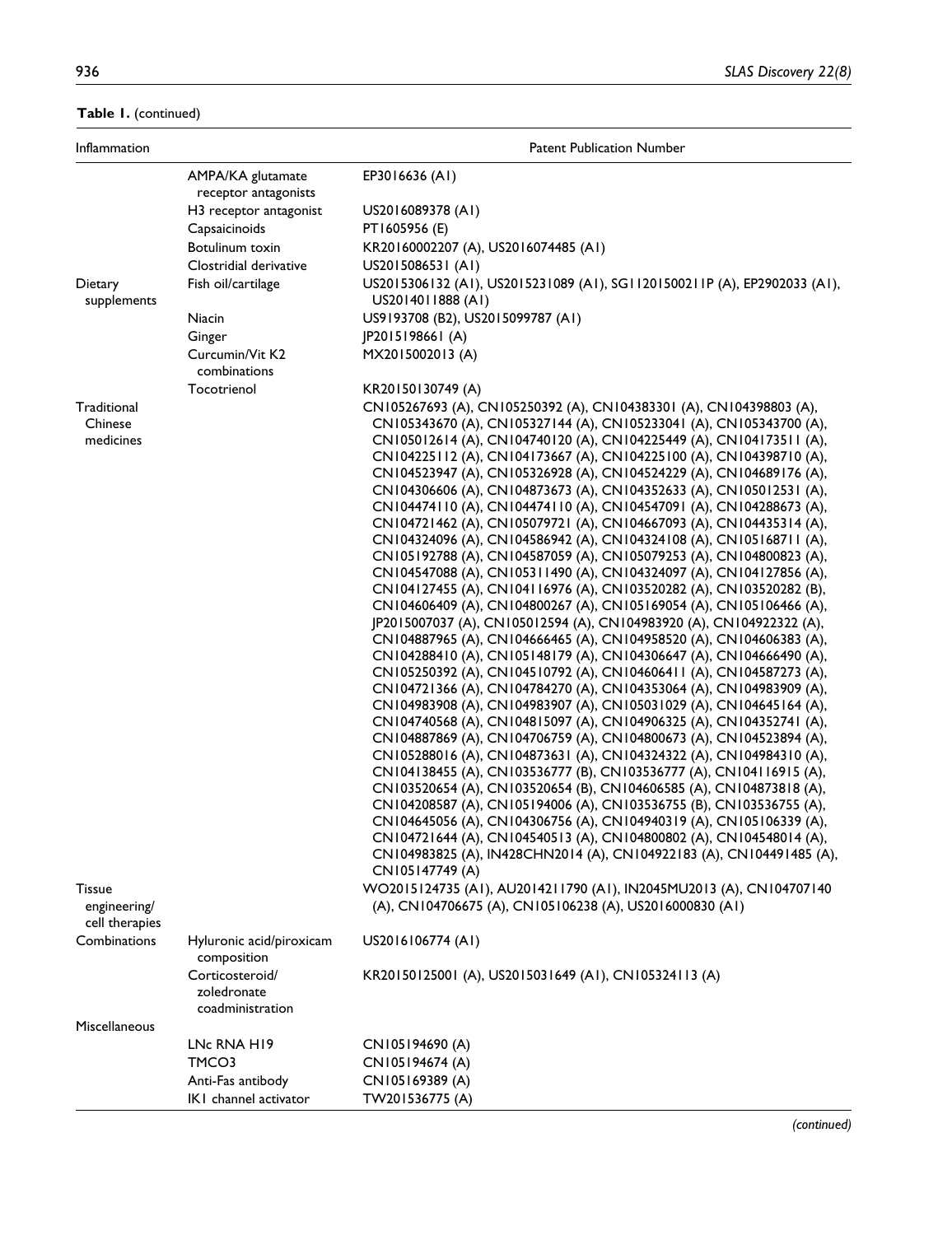**Table 1.** (continued)

| Inflammation                        |                                                                   | <b>Patent Publication Number</b>                                                                                                                                                                                                                                                                                                                                                                                                                                                                                                                                                                                                                                                                                                                                                                                                                                                                                                                                                                                                                                                                                                                                                                                                                                                                                                                                                                                                                                                                                                                                                                                                                                                                                                                                                                                                                                                                                                                                                                                                                                   |
|-------------------------------------|-------------------------------------------------------------------|--------------------------------------------------------------------------------------------------------------------------------------------------------------------------------------------------------------------------------------------------------------------------------------------------------------------------------------------------------------------------------------------------------------------------------------------------------------------------------------------------------------------------------------------------------------------------------------------------------------------------------------------------------------------------------------------------------------------------------------------------------------------------------------------------------------------------------------------------------------------------------------------------------------------------------------------------------------------------------------------------------------------------------------------------------------------------------------------------------------------------------------------------------------------------------------------------------------------------------------------------------------------------------------------------------------------------------------------------------------------------------------------------------------------------------------------------------------------------------------------------------------------------------------------------------------------------------------------------------------------------------------------------------------------------------------------------------------------------------------------------------------------------------------------------------------------------------------------------------------------------------------------------------------------------------------------------------------------------------------------------------------------------------------------------------------------|
|                                     | AMPA/KA glutamate<br>receptor antagonists                         | EP3016636 (A1)                                                                                                                                                                                                                                                                                                                                                                                                                                                                                                                                                                                                                                                                                                                                                                                                                                                                                                                                                                                                                                                                                                                                                                                                                                                                                                                                                                                                                                                                                                                                                                                                                                                                                                                                                                                                                                                                                                                                                                                                                                                     |
|                                     | H3 receptor antagonist                                            | US2016089378 (AI)                                                                                                                                                                                                                                                                                                                                                                                                                                                                                                                                                                                                                                                                                                                                                                                                                                                                                                                                                                                                                                                                                                                                                                                                                                                                                                                                                                                                                                                                                                                                                                                                                                                                                                                                                                                                                                                                                                                                                                                                                                                  |
|                                     | Capsaicinoids                                                     | PT1605956 (E)                                                                                                                                                                                                                                                                                                                                                                                                                                                                                                                                                                                                                                                                                                                                                                                                                                                                                                                                                                                                                                                                                                                                                                                                                                                                                                                                                                                                                                                                                                                                                                                                                                                                                                                                                                                                                                                                                                                                                                                                                                                      |
|                                     | Botulinum toxin                                                   | KR20160002207 (A), US2016074485 (A1)                                                                                                                                                                                                                                                                                                                                                                                                                                                                                                                                                                                                                                                                                                                                                                                                                                                                                                                                                                                                                                                                                                                                                                                                                                                                                                                                                                                                                                                                                                                                                                                                                                                                                                                                                                                                                                                                                                                                                                                                                               |
|                                     | Clostridial derivative                                            | US2015086531 (AT)                                                                                                                                                                                                                                                                                                                                                                                                                                                                                                                                                                                                                                                                                                                                                                                                                                                                                                                                                                                                                                                                                                                                                                                                                                                                                                                                                                                                                                                                                                                                                                                                                                                                                                                                                                                                                                                                                                                                                                                                                                                  |
| Dietary<br>supplements              | Fish oil/cartilage                                                | US2015306132 (A1), US2015231089 (A1), SG11201500211P (A), EP2902033 (A1),<br>US2014011888 (AI)                                                                                                                                                                                                                                                                                                                                                                                                                                                                                                                                                                                                                                                                                                                                                                                                                                                                                                                                                                                                                                                                                                                                                                                                                                                                                                                                                                                                                                                                                                                                                                                                                                                                                                                                                                                                                                                                                                                                                                     |
|                                     | Niacin                                                            | US9193708 (B2), US2015099787 (A1)                                                                                                                                                                                                                                                                                                                                                                                                                                                                                                                                                                                                                                                                                                                                                                                                                                                                                                                                                                                                                                                                                                                                                                                                                                                                                                                                                                                                                                                                                                                                                                                                                                                                                                                                                                                                                                                                                                                                                                                                                                  |
|                                     | Ginger                                                            | JP2015198661 (A)                                                                                                                                                                                                                                                                                                                                                                                                                                                                                                                                                                                                                                                                                                                                                                                                                                                                                                                                                                                                                                                                                                                                                                                                                                                                                                                                                                                                                                                                                                                                                                                                                                                                                                                                                                                                                                                                                                                                                                                                                                                   |
|                                     | Curcumin/Vit K2<br>combinations                                   | MX2015002013 (A)                                                                                                                                                                                                                                                                                                                                                                                                                                                                                                                                                                                                                                                                                                                                                                                                                                                                                                                                                                                                                                                                                                                                                                                                                                                                                                                                                                                                                                                                                                                                                                                                                                                                                                                                                                                                                                                                                                                                                                                                                                                   |
|                                     | Tocotrienol                                                       | KR20150130749 (A)                                                                                                                                                                                                                                                                                                                                                                                                                                                                                                                                                                                                                                                                                                                                                                                                                                                                                                                                                                                                                                                                                                                                                                                                                                                                                                                                                                                                                                                                                                                                                                                                                                                                                                                                                                                                                                                                                                                                                                                                                                                  |
| Traditional<br>Chinese<br>medicines |                                                                   | CN105267693 (A), CN105250392 (A), CN104383301 (A), CN104398803 (A),<br>CN105343670 (A), CN105327144 (A), CN105233041 (A), CN105343700 (A),<br>CN105012614 (A), CN104740120 (A), CN104225449 (A), CN104173511 (A),<br>CN104225112 (A), CN104173667 (A), CN104225100 (A), CN104398710 (A),<br>CN104523947 (A), CN105326928 (A), CN104524229 (A), CN104689176 (A),<br>CN104306606 (A), CN104873673 (A), CN104352633 (A), CN105012531 (A),<br>CN104474110 (A), CN104474110 (A), CN104547091 (A), CN104288673 (A),<br>CN104721462 (A), CN105079721 (A), CN104667093 (A), CN104435314 (A),<br>CN104324096 (A), CN104586942 (A), CN104324108 (A), CN105168711 (A),<br>CN105192788 (A), CN104587059 (A), CN105079253 (A), CN104800823 (A),<br>CN104547088 (A), CN105311490 (A), CN104324097 (A), CN104127856 (A),<br>CN104127455 (A), CN104116976 (A), CN103520282 (A), CN103520282 (B),<br>CN104606409 (A), CN104800267 (A), CN105169054 (A), CN105106466 (A),<br>JP2015007037 (A), CN105012594 (A), CN104983920 (A), CN104922322 (A),<br>CN104887965 (A), CN104666465 (A), CN104958520 (A), CN104606383 (A),<br>CN104288410 (A), CN105148179 (A), CN104306647 (A), CN104666490 (A),<br>CN105250392 (A), CN104510792 (A), CN104606411 (A), CN104587273 (A),<br>CN104721366 (A), CN104784270 (A), CN104353064 (A), CN104983909 (A),<br>CN104983908 (A), CN104983907 (A), CN105031029 (A), CN104645164 (A),<br>CN104740568 (A), CN104815097 (A), CN104906325 (A), CN104352741 (A),<br>CN104887869 (A), CN104706759 (A), CN104800673 (A), CN104523894 (A),<br>CN105288016 (A), CN104873631 (A), CN104324322 (A), CN104984310 (A),<br>CN104138455 (A), CN103536777 (B), CN103536777 (A), CN104116915 (A),<br>CN103520654 (A), CN103520654 (B), CN104606585 (A), CN104873818 (A),<br>CN104208587 (A), CN105194006 (A), CN103536755 (B), CN103536755 (A),<br>CN104645056 (A), CN104306756 (A), CN104940319 (A), CN105106339 (A),<br>CN104721644 (A), CN104540513 (A), CN104800802 (A), CN104548014 (A),<br>CN104983825 (A), IN428CHN2014 (A), CN104922183 (A), CN104491485 (A), |
| Tissue<br>engineering/              |                                                                   | CN105147749 (A)<br>WO2015124735 (A1), AU2014211790 (A1), IN2045MU2013 (A), CN104707140<br>(A), CN104706675 (A), CN105106238 (A), US2016000830 (A1)                                                                                                                                                                                                                                                                                                                                                                                                                                                                                                                                                                                                                                                                                                                                                                                                                                                                                                                                                                                                                                                                                                                                                                                                                                                                                                                                                                                                                                                                                                                                                                                                                                                                                                                                                                                                                                                                                                                 |
| cell therapies<br>Combinations      | Hyluronic acid/piroxicam                                          | US2016106774 (A1)                                                                                                                                                                                                                                                                                                                                                                                                                                                                                                                                                                                                                                                                                                                                                                                                                                                                                                                                                                                                                                                                                                                                                                                                                                                                                                                                                                                                                                                                                                                                                                                                                                                                                                                                                                                                                                                                                                                                                                                                                                                  |
|                                     | composition<br>Corticosteroid/<br>zoledronate<br>coadministration | KR20150125001 (A), US2015031649 (A1), CN105324113 (A)                                                                                                                                                                                                                                                                                                                                                                                                                                                                                                                                                                                                                                                                                                                                                                                                                                                                                                                                                                                                                                                                                                                                                                                                                                                                                                                                                                                                                                                                                                                                                                                                                                                                                                                                                                                                                                                                                                                                                                                                              |
| Miscellaneous                       |                                                                   |                                                                                                                                                                                                                                                                                                                                                                                                                                                                                                                                                                                                                                                                                                                                                                                                                                                                                                                                                                                                                                                                                                                                                                                                                                                                                                                                                                                                                                                                                                                                                                                                                                                                                                                                                                                                                                                                                                                                                                                                                                                                    |
|                                     | LNc RNA H19                                                       | CN105194690 (A)                                                                                                                                                                                                                                                                                                                                                                                                                                                                                                                                                                                                                                                                                                                                                                                                                                                                                                                                                                                                                                                                                                                                                                                                                                                                                                                                                                                                                                                                                                                                                                                                                                                                                                                                                                                                                                                                                                                                                                                                                                                    |
|                                     | TMCO3                                                             | CN105194674 (A)                                                                                                                                                                                                                                                                                                                                                                                                                                                                                                                                                                                                                                                                                                                                                                                                                                                                                                                                                                                                                                                                                                                                                                                                                                                                                                                                                                                                                                                                                                                                                                                                                                                                                                                                                                                                                                                                                                                                                                                                                                                    |
|                                     | Anti-Fas antibody<br>IKI channel activator                        | CN105169389 (A)<br>TW201536775 (A)                                                                                                                                                                                                                                                                                                                                                                                                                                                                                                                                                                                                                                                                                                                                                                                                                                                                                                                                                                                                                                                                                                                                                                                                                                                                                                                                                                                                                                                                                                                                                                                                                                                                                                                                                                                                                                                                                                                                                                                                                                 |

*(continued)*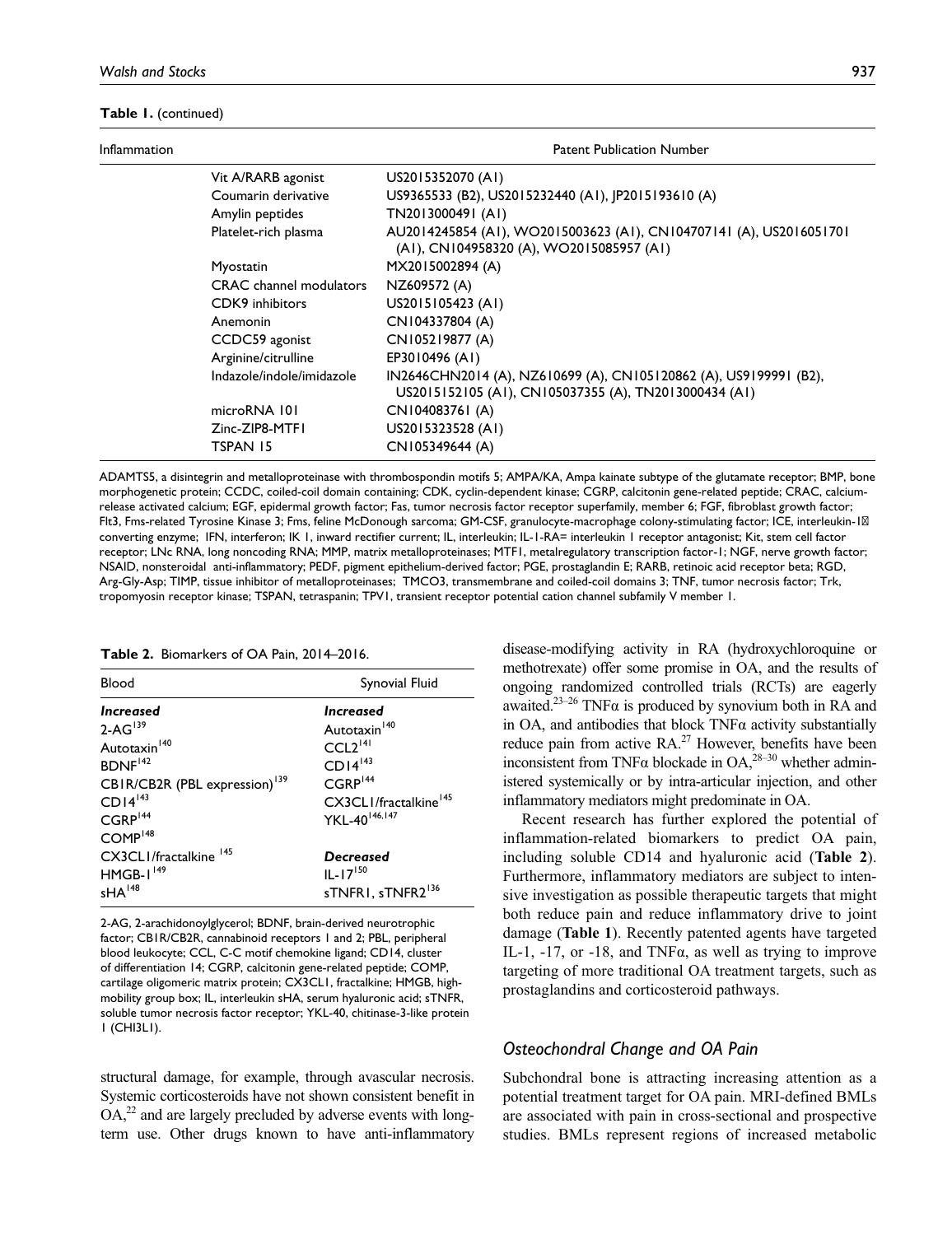#### **Table 1.** (continued)

| Inflammation | <b>Patent Publication Number</b> |                                                                                                                            |  |
|--------------|----------------------------------|----------------------------------------------------------------------------------------------------------------------------|--|
|              | Vit A/RARB agonist               | US2015352070 (AI)                                                                                                          |  |
|              | Coumarin derivative              | US9365533 (B2), US2015232440 (A1), JP2015193610 (A)                                                                        |  |
|              | Amylin peptides                  | TN2013000491 (AI)                                                                                                          |  |
|              | Platelet-rich plasma             | AU2014245854 (A1), WO2015003623 (A1), CN104707141 (A), US2016051701<br>(A1), CN104958320 (A), WO2015085957 (A1)            |  |
|              | Myostatin                        | MX2015002894 (A)                                                                                                           |  |
|              | <b>CRAC</b> channel modulators   | NZ609572 (A)                                                                                                               |  |
|              | CDK9 inhibitors                  | US2015105423 (AI)                                                                                                          |  |
|              | Anemonin                         | CN104337804 (A)                                                                                                            |  |
|              | CCDC59 agonist                   | CN105219877 (A)                                                                                                            |  |
|              | Arginine/citrulline              | EP3010496 (A1)                                                                                                             |  |
|              | Indazole/indole/imidazole        | IN2646CHN2014 (A), NZ610699 (A), CN105120862 (A), US9199991 (B2),<br>US2015152105 (A1), CN105037355 (A), TN2013000434 (A1) |  |
|              | microRNA 101                     | CN104083761 (A)                                                                                                            |  |
|              | Zinc-ZIP8-MTFI                   | US2015323528 (AI)                                                                                                          |  |
|              | TSPAN 15                         | CN105349644 (A)                                                                                                            |  |

ADAMTS5, a disintegrin and metalloproteinase with thrombospondin motifs 5; AMPA/KA, Ampa kainate subtype of the glutamate receptor; BMP, bone morphogenetic protein; CCDC, coiled-coil domain containing; CDK, cyclin-dependent kinase; CGRP, calcitonin gene-related peptide; CRAC, calciumrelease activated calcium; EGF, epidermal growth factor; Fas, tumor necrosis factor receptor superfamily, member 6; FGF, fibroblast growth factor; Flt3, Fms-related Tyrosine Kinase 3; Fms, feline McDonough sarcoma; GM-CSF, granulocyte-macrophage colony-stimulating factor; ICE, interleukin-1β converting enzyme; IFN, interferon; IK 1, inward rectifier current; IL, interleukin; IL-1-RA= interleukin 1 receptor antagonist; Kit, stem cell factor receptor; LNc RNA, long noncoding RNA; MMP, matrix metalloproteinases; MTF1, metalregulatory transcription factor-1; NGF, nerve growth factor; NSAID, nonsteroidal anti-inflammatory; PEDF, pigment epithelium-derived factor; PGE, prostaglandin E; RARB, retinoic acid receptor beta; RGD, Arg-Gly-Asp; TIMP, tissue inhibitor of metalloproteinases; TMCO3, transmembrane and coiled-coil domains 3; TNF, tumor necrosis factor; Trk, tropomyosin receptor kinase; TSPAN, tetraspanin; TPV1, transient receptor potential cation channel subfamily V member 1.

#### **Table 2.** Biomarkers of OA Pain, 2014–2016.

| Blood                                                                                                                                                          | Synovial Fluid                                                                                                                                  |
|----------------------------------------------------------------------------------------------------------------------------------------------------------------|-------------------------------------------------------------------------------------------------------------------------------------------------|
| <i><u><b>Increased</b></u></i><br>$2-AG^{139}$<br>Autotaxin <sup>140</sup><br>BDNF <sup>142</sup><br>CBIR/CB2R (PBL expression) <sup>139</sup><br>$CDI4^{143}$ | <b>Increased</b><br>Autotaxin <sup>140</sup><br>CCL2 <sup>141</sup><br>$CDI4^{143}$<br>CGRP <sup>144</sup><br>CX3CLI/fractalkine <sup>145</sup> |
| $CGRP^{144}$<br>COMP <sup>148</sup><br>CX3CLI/fractalkine 145<br>$HMGB-I149$<br>$sHA$ <sup>148</sup>                                                           | YKL-40 <sup>146,147</sup><br>Decreased<br>$IL-I7150$<br>sTNFRI, sTNFR2 <sup>136</sup>                                                           |

2-AG, 2-arachidonoylglycerol; BDNF, brain-derived neurotrophic factor; CB1R/CB2R, cannabinoid receptors 1 and 2; PBL, peripheral blood leukocyte; CCL, C-C motif chemokine ligand; CD14, cluster of differentiation 14; CGRP, calcitonin gene-related peptide; COMP, cartilage oligomeric matrix protein; CX3CL1, fractalkine; HMGB, highmobility group box; IL, interleukin sHA, serum hyaluronic acid; sTNFR, soluble tumor necrosis factor receptor; YKL-40, chitinase-3-like protein 1 (CHI3L1).

structural damage, for example, through avascular necrosis. Systemic corticosteroids have not shown consistent benefit in  $OA<sub>1</sub><sup>22</sup>$  and are largely precluded by adverse events with longterm use. Other drugs known to have anti-inflammatory disease-modifying activity in RA (hydroxychloroquine or methotrexate) offer some promise in OA, and the results of ongoing randomized controlled trials (RCTs) are eagerly awaited.<sup>23–26</sup> TNF $\alpha$  is produced by synovium both in RA and in OA, and antibodies that block  $TNF\alpha$  activity substantially reduce pain from active  $RA<sup>27</sup>$  However, benefits have been inconsistent from TNF $\alpha$  blockade in OA,<sup>28–30</sup> whether administered systemically or by intra-articular injection, and other inflammatory mediators might predominate in OA.

Recent research has further explored the potential of inflammation-related biomarkers to predict OA pain, including soluble CD14 and hyaluronic acid (**Table 2**). Furthermore, inflammatory mediators are subject to intensive investigation as possible therapeutic targets that might both reduce pain and reduce inflammatory drive to joint damage (**Table 1**). Recently patented agents have targeted IL-1, -17, or -18, and TNFα, as well as trying to improve targeting of more traditional OA treatment targets, such as prostaglandins and corticosteroid pathways.

#### *Osteochondral Change and OA Pain*

Subchondral bone is attracting increasing attention as a potential treatment target for OA pain. MRI-defined BMLs are associated with pain in cross-sectional and prospective studies. BMLs represent regions of increased metabolic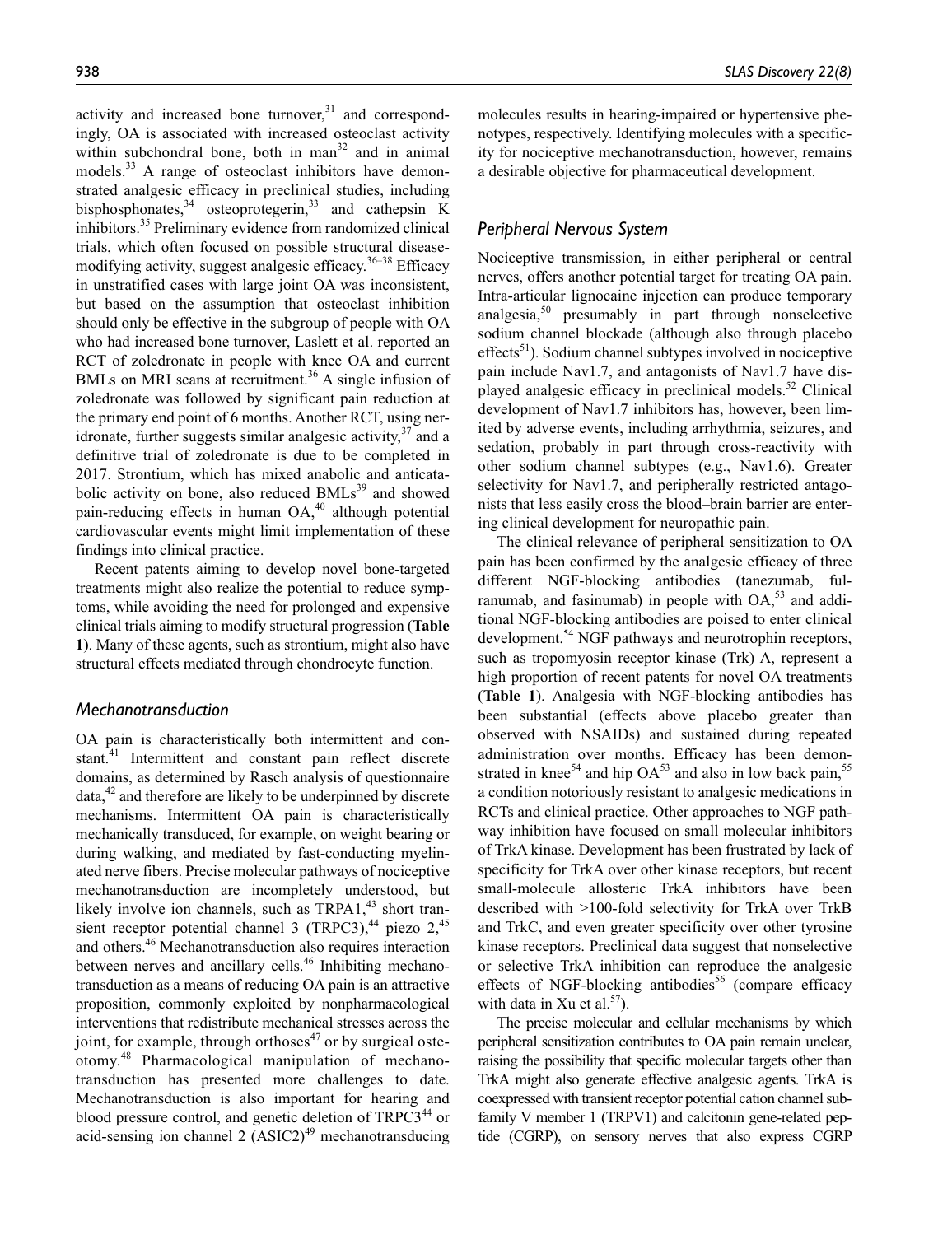activity and increased bone turnover, $31$  and correspondingly, OA is associated with increased osteoclast activity within subchondral bone, both in man<sup>32</sup> and in animal models.<sup>33</sup> A range of osteoclast inhibitors have demonstrated analgesic efficacy in preclinical studies, including bisphosphonates,  $34$  osteoprotegerin,  $33$  and cathepsin K inhibitors.<sup>35</sup> Preliminary evidence from randomized clinical trials, which often focused on possible structural diseasemodifying activity, suggest analgesic efficacy.  $36-38$  Efficacy in unstratified cases with large joint OA was inconsistent, but based on the assumption that osteoclast inhibition should only be effective in the subgroup of people with OA who had increased bone turnover, Laslett et al. reported an RCT of zoledronate in people with knee OA and current BMLs on MRI scans at recruitment.<sup>36</sup> A single infusion of zoledronate was followed by significant pain reduction at the primary end point of 6 months. Another RCT, using neridronate, further suggests similar analgesic activity,  $37$  and a definitive trial of zoledronate is due to be completed in 2017. Strontium, which has mixed anabolic and anticatabolic activity on bone, also reduced  $BMLs<sup>39</sup>$  and showed pain-reducing effects in human OA,<sup>40</sup> although potential cardiovascular events might limit implementation of these findings into clinical practice.

Recent patents aiming to develop novel bone-targeted treatments might also realize the potential to reduce symptoms, while avoiding the need for prolonged and expensive clinical trials aiming to modify structural progression (**Table 1**). Many of these agents, such as strontium, might also have structural effects mediated through chondrocyte function.

#### *Mechanotransduction*

OA pain is characteristically both intermittent and constant.<sup>41</sup> Intermittent and constant pain reflect discrete domains, as determined by Rasch analysis of questionnaire  $data<sub>1</sub><sup>42</sup>$  and therefore are likely to be underpinned by discrete mechanisms. Intermittent OA pain is characteristically mechanically transduced, for example, on weight bearing or during walking, and mediated by fast-conducting myelinated nerve fibers. Precise molecular pathways of nociceptive mechanotransduction are incompletely understood, but likely involve ion channels, such as TRPA1,<sup>43</sup> short transient receptor potential channel 3 (TRPC3), $44$  piezo 2, $45$ and others.46 Mechanotransduction also requires interaction between nerves and ancillary cells.<sup>46</sup> Inhibiting mechanotransduction as a means of reducing OA pain is an attractive proposition, commonly exploited by nonpharmacological interventions that redistribute mechanical stresses across the joint, for example, through orthoses<sup>47</sup> or by surgical osteotomy.48 Pharmacological manipulation of mechanotransduction has presented more challenges to date. Mechanotransduction is also important for hearing and blood pressure control, and genetic deletion of  $TRPC3<sup>44</sup>$  or acid-sensing ion channel 2  $(ASIC2)^{49}$  mechanotransducing molecules results in hearing-impaired or hypertensive phenotypes, respectively. Identifying molecules with a specificity for nociceptive mechanotransduction, however, remains a desirable objective for pharmaceutical development.

# *Peripheral Nervous System*

Nociceptive transmission, in either peripheral or central nerves, offers another potential target for treating OA pain. Intra-articular lignocaine injection can produce temporary analgesia, $50$  presumably in part through nonselective sodium channel blockade (although also through placebo  $effects<sup>51</sup>$ ). Sodium channel subtypes involved in nociceptive pain include Nav1.7, and antagonists of Nav1.7 have displayed analgesic efficacy in preclinical models.<sup>52</sup> Clinical development of Nav1.7 inhibitors has, however, been limited by adverse events, including arrhythmia, seizures, and sedation, probably in part through cross-reactivity with other sodium channel subtypes (e.g., Nav1.6). Greater selectivity for Nav1.7, and peripherally restricted antagonists that less easily cross the blood–brain barrier are entering clinical development for neuropathic pain.

The clinical relevance of peripheral sensitization to OA pain has been confirmed by the analgesic efficacy of three different NGF-blocking antibodies (tanezumab, fulranumab, and fasinumab) in people with  $OA<sub>53</sub>$  and additional NGF-blocking antibodies are poised to enter clinical development.<sup>54</sup> NGF pathways and neurotrophin receptors, such as tropomyosin receptor kinase (Trk) A, represent a high proportion of recent patents for novel OA treatments (**Table 1**). Analgesia with NGF-blocking antibodies has been substantial (effects above placebo greater than observed with NSAIDs) and sustained during repeated administration over months. Efficacy has been demonstrated in knee<sup>54</sup> and hip  $OA<sup>53</sup>$  and also in low back pain,<sup>55</sup> a condition notoriously resistant to analgesic medications in RCTs and clinical practice. Other approaches to NGF pathway inhibition have focused on small molecular inhibitors of TrkA kinase. Development has been frustrated by lack of specificity for TrkA over other kinase receptors, but recent small-molecule allosteric TrkA inhibitors have been described with >100-fold selectivity for TrkA over TrkB and TrkC, and even greater specificity over other tyrosine kinase receptors. Preclinical data suggest that nonselective or selective TrkA inhibition can reproduce the analgesic effects of NGF-blocking antibodies<sup>56</sup> (compare efficacy with data in Xu et al.<sup>57</sup>).

The precise molecular and cellular mechanisms by which peripheral sensitization contributes to OA pain remain unclear, raising the possibility that specific molecular targets other than TrkA might also generate effective analgesic agents. TrkA is coexpressed with transient receptor potential cation channel subfamily V member 1 (TRPV1) and calcitonin gene-related peptide (CGRP), on sensory nerves that also express CGRP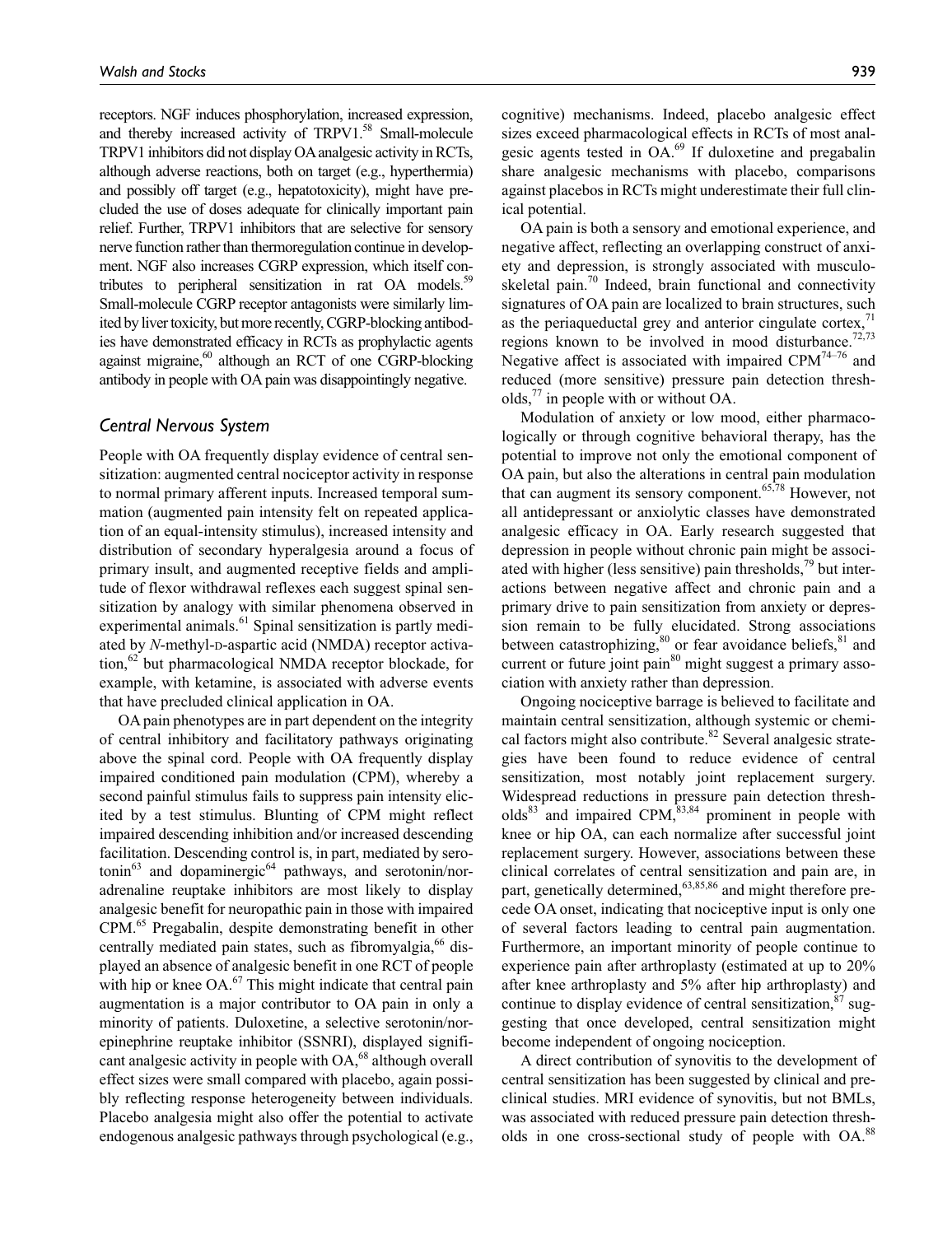receptors. NGF induces phosphorylation, increased expression, and thereby increased activity of TRPV1.<sup>58</sup> Small-molecule TRPV1 inhibitors did not display OA analgesic activity in RCTs, although adverse reactions, both on target (e.g., hyperthermia) and possibly off target (e.g., hepatotoxicity), might have precluded the use of doses adequate for clinically important pain relief. Further, TRPV1 inhibitors that are selective for sensory nerve function rather than thermoregulation continue in development. NGF also increases CGRP expression, which itself contributes to peripheral sensitization in rat OA models.<sup>59</sup> Small-molecule CGRP receptor antagonists were similarly limited by liver toxicity, but more recently, CGRP-blocking antibodies have demonstrated efficacy in RCTs as prophylactic agents against migraine, $60$  although an RCT of one CGRP-blocking antibody in people with OA pain was disappointingly negative.

# *Central Nervous System*

People with OA frequently display evidence of central sensitization: augmented central nociceptor activity in response to normal primary afferent inputs. Increased temporal summation (augmented pain intensity felt on repeated application of an equal-intensity stimulus), increased intensity and distribution of secondary hyperalgesia around a focus of primary insult, and augmented receptive fields and amplitude of flexor withdrawal reflexes each suggest spinal sensitization by analogy with similar phenomena observed in experimental animals.<sup>61</sup> Spinal sensitization is partly mediated by *N*-methyl-p-aspartic acid (NMDA) receptor activa- $\mu$ <sub>1</sub><sup>62</sup> but pharmacological NMDA receptor blockade, for example, with ketamine, is associated with adverse events that have precluded clinical application in OA.

OA pain phenotypes are in part dependent on the integrity of central inhibitory and facilitatory pathways originating above the spinal cord. People with OA frequently display impaired conditioned pain modulation (CPM), whereby a second painful stimulus fails to suppress pain intensity elicited by a test stimulus. Blunting of CPM might reflect impaired descending inhibition and/or increased descending facilitation. Descending control is, in part, mediated by sero- $\text{to}^{\text{63}}$  and dopaminergic<sup>64</sup> pathways, and serotonin/noradrenaline reuptake inhibitors are most likely to display analgesic benefit for neuropathic pain in those with impaired CPM.65 Pregabalin, despite demonstrating benefit in other centrally mediated pain states, such as fibromyalgia, $66$  displayed an absence of analgesic benefit in one RCT of people with hip or knee  $OA<sup>67</sup>$ . This might indicate that central pain augmentation is a major contributor to OA pain in only a minority of patients. Duloxetine, a selective serotonin/norepinephrine reuptake inhibitor (SSNRI), displayed significant analgesic activity in people with  $OA<sub>0</sub><sup>68</sup>$  although overall effect sizes were small compared with placebo, again possibly reflecting response heterogeneity between individuals. Placebo analgesia might also offer the potential to activate endogenous analgesic pathways through psychological (e.g.,

cognitive) mechanisms. Indeed, placebo analgesic effect sizes exceed pharmacological effects in RCTs of most analgesic agents tested in OA.69 If duloxetine and pregabalin share analgesic mechanisms with placebo, comparisons against placebos in RCTs might underestimate their full clinical potential.

OA pain is both a sensory and emotional experience, and negative affect, reflecting an overlapping construct of anxiety and depression, is strongly associated with musculoskeletal pain. $\frac{70}{10}$  Indeed, brain functional and connectivity signatures of OA pain are localized to brain structures, such as the periaqueductal grey and anterior cingulate cortex, $\frac{1}{10}$ regions known to be involved in mood disturbance.<sup>72,73</sup> Negative affect is associated with impaired CPM<sup>74-76</sup> and reduced (more sensitive) pressure pain detection thresholds, $\frac{7}{7}$  in people with or without OA.

Modulation of anxiety or low mood, either pharmacologically or through cognitive behavioral therapy, has the potential to improve not only the emotional component of OA pain, but also the alterations in central pain modulation that can augment its sensory component. $65,78$  However, not all antidepressant or anxiolytic classes have demonstrated analgesic efficacy in OA. Early research suggested that depression in people without chronic pain might be associated with higher (less sensitive) pain thresholds, $\frac{79}{3}$  but interactions between negative affect and chronic pain and a primary drive to pain sensitization from anxiety or depression remain to be fully elucidated. Strong associations between catastrophizing, $80$  or fear avoidance beliefs, $81$  and current or future joint pain<sup>80</sup> might suggest a primary association with anxiety rather than depression.

Ongoing nociceptive barrage is believed to facilitate and maintain central sensitization, although systemic or chemical factors might also contribute.<sup>82</sup> Several analgesic strategies have been found to reduce evidence of central sensitization, most notably joint replacement surgery. Widespread reductions in pressure pain detection thresh $olds^{83}$  and impaired CPM,  $83,84$  prominent in people with knee or hip OA, can each normalize after successful joint replacement surgery. However, associations between these clinical correlates of central sensitization and pain are, in part, genetically determined,<sup>63,85,86</sup> and might therefore precede OA onset, indicating that nociceptive input is only one of several factors leading to central pain augmentation. Furthermore, an important minority of people continue to experience pain after arthroplasty (estimated at up to 20% after knee arthroplasty and 5% after hip arthroplasty) and continue to display evidence of central sensitization, $87 \text{ sug-}$ gesting that once developed, central sensitization might become independent of ongoing nociception.

A direct contribution of synovitis to the development of central sensitization has been suggested by clinical and preclinical studies. MRI evidence of synovitis, but not BMLs, was associated with reduced pressure pain detection thresholds in one cross-sectional study of people with OA.<sup>88</sup>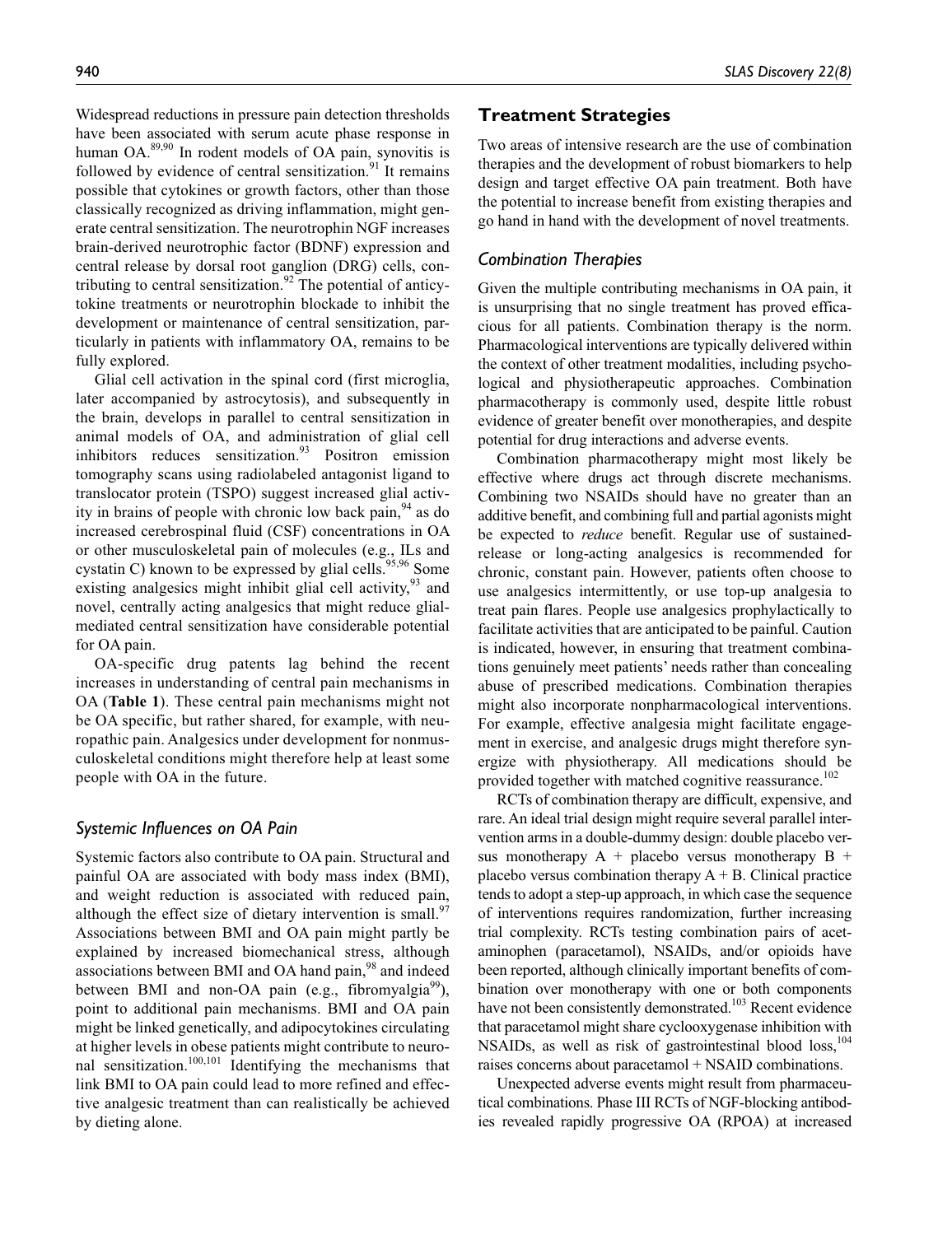Widespread reductions in pressure pain detection thresholds have been associated with serum acute phase response in human OA.<sup>89,90</sup> In rodent models of OA pain, synovitis is followed by evidence of central sensitization. $91$  It remains possible that cytokines or growth factors, other than those classically recognized as driving inflammation, might generate central sensitization. The neurotrophin NGF increases brain-derived neurotrophic factor (BDNF) expression and central release by dorsal root ganglion (DRG) cells, contributing to central sensitization.<sup>92</sup> The potential of anticytokine treatments or neurotrophin blockade to inhibit the development or maintenance of central sensitization, particularly in patients with inflammatory OA, remains to be fully explored.

Glial cell activation in the spinal cord (first microglia, later accompanied by astrocytosis), and subsequently in the brain, develops in parallel to central sensitization in animal models of OA, and administration of glial cell inhibitors reduces sensitization. $93$  Positron emission tomography scans using radiolabeled antagonist ligand to translocator protein (TSPO) suggest increased glial activity in brains of people with chronic low back pain,  $94$  as do increased cerebrospinal fluid (CSF) concentrations in OA or other musculoskeletal pain of molecules (e.g., ILs and cystatin C) known to be expressed by glial cells.<sup>95,96</sup> Some existing analgesics might inhibit glial cell activity,  $93$  and novel, centrally acting analgesics that might reduce glialmediated central sensitization have considerable potential for OA pain.

OA-specific drug patents lag behind the recent increases in understanding of central pain mechanisms in OA (**Table 1**). These central pain mechanisms might not be OA specific, but rather shared, for example, with neuropathic pain. Analgesics under development for nonmusculoskeletal conditions might therefore help at least some people with OA in the future.

# *Systemic Influences on OA Pain*

Systemic factors also contribute to OA pain. Structural and painful OA are associated with body mass index (BMI), and weight reduction is associated with reduced pain, although the effect size of dietary intervention is small.<sup>97</sup> Associations between BMI and OA pain might partly be explained by increased biomechanical stress, although associations between BMI and OA hand pain,<sup>98</sup> and indeed between BMI and non-OA pain (e.g., fibromyalgia $^{99}$ ), point to additional pain mechanisms. BMI and OA pain might be linked genetically, and adipocytokines circulating at higher levels in obese patients might contribute to neuronal sensitization.100,101 Identifying the mechanisms that link BMI to OA pain could lead to more refined and effective analgesic treatment than can realistically be achieved by dieting alone.

# **Treatment Strategies**

Two areas of intensive research are the use of combination therapies and the development of robust biomarkers to help design and target effective OA pain treatment. Both have the potential to increase benefit from existing therapies and go hand in hand with the development of novel treatments.

## *Combination Therapies*

Given the multiple contributing mechanisms in OA pain, it is unsurprising that no single treatment has proved efficacious for all patients. Combination therapy is the norm. Pharmacological interventions are typically delivered within the context of other treatment modalities, including psychological and physiotherapeutic approaches. Combination pharmacotherapy is commonly used, despite little robust evidence of greater benefit over monotherapies, and despite potential for drug interactions and adverse events.

Combination pharmacotherapy might most likely be effective where drugs act through discrete mechanisms. Combining two NSAIDs should have no greater than an additive benefit, and combining full and partial agonists might be expected to *reduce* benefit. Regular use of sustainedrelease or long-acting analgesics is recommended for chronic, constant pain. However, patients often choose to use analgesics intermittently, or use top-up analgesia to treat pain flares. People use analgesics prophylactically to facilitate activities that are anticipated to be painful. Caution is indicated, however, in ensuring that treatment combinations genuinely meet patients' needs rather than concealing abuse of prescribed medications. Combination therapies might also incorporate nonpharmacological interventions. For example, effective analgesia might facilitate engagement in exercise, and analgesic drugs might therefore synergize with physiotherapy. All medications should be provided together with matched cognitive reassurance.<sup>102</sup>

RCTs of combination therapy are difficult, expensive, and rare. An ideal trial design might require several parallel intervention arms in a double-dummy design: double placebo versus monotherapy  $A +$  placebo versus monotherapy  $B +$ placebo versus combination therapy  $A + B$ . Clinical practice tends to adopt a step-up approach, in which case the sequence of interventions requires randomization, further increasing trial complexity. RCTs testing combination pairs of acetaminophen (paracetamol), NSAIDs, and/or opioids have been reported, although clinically important benefits of combination over monotherapy with one or both components have not been consistently demonstrated.<sup>103</sup> Recent evidence that paracetamol might share cyclooxygenase inhibition with NSAIDs, as well as risk of gastrointestinal blood loss,<sup>104</sup> raises concerns about paracetamol + NSAID combinations.

Unexpected adverse events might result from pharmaceutical combinations. Phase III RCTs of NGF-blocking antibodies revealed rapidly progressive OA (RPOA) at increased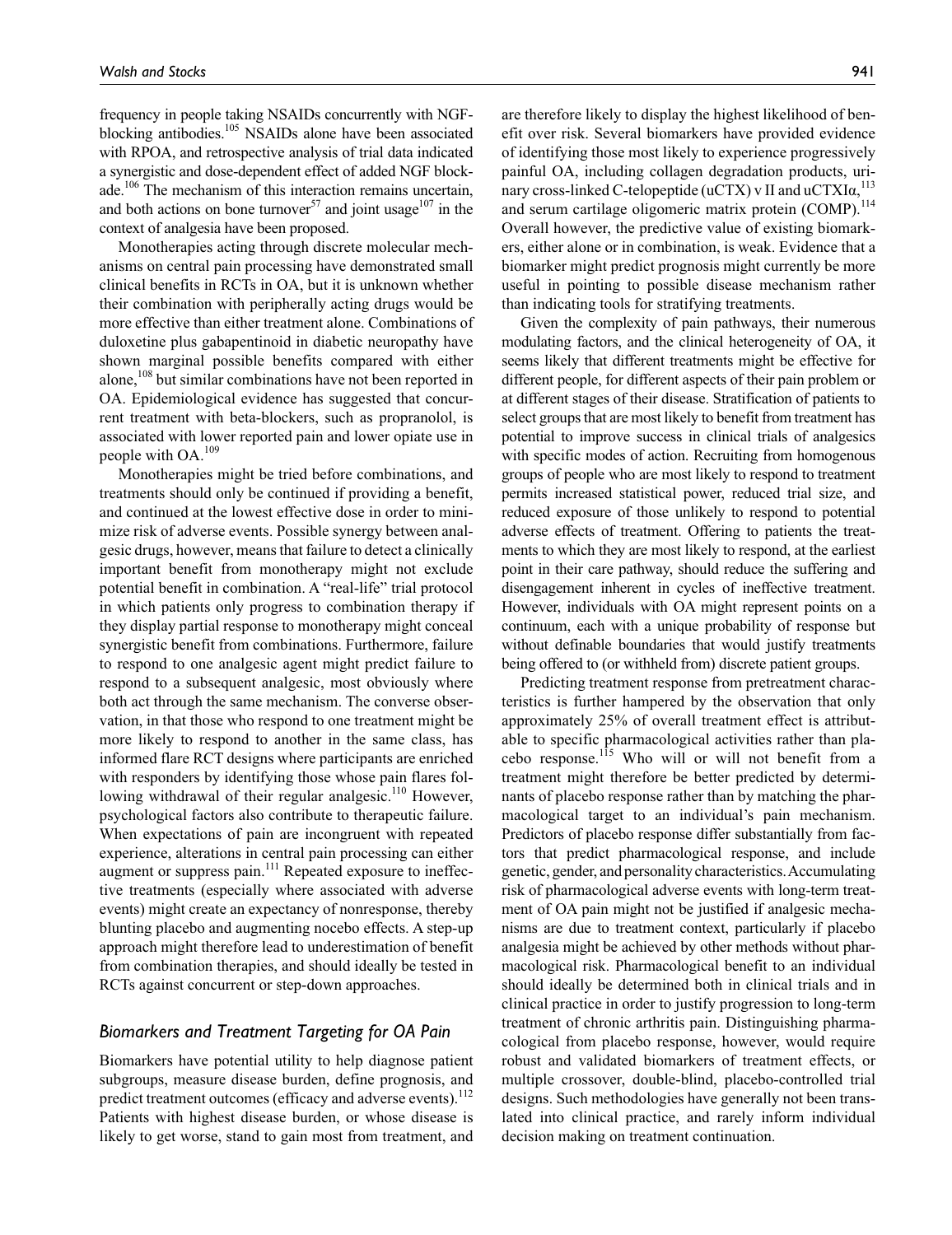frequency in people taking NSAIDs concurrently with NGFblocking antibodies.<sup>105</sup> NSAIDs alone have been associated with RPOA, and retrospective analysis of trial data indicated a synergistic and dose-dependent effect of added NGF blockade.<sup>106</sup> The mechanism of this interaction remains uncertain, and both actions on bone turnover<sup>57</sup> and joint usage<sup>107</sup> in the context of analgesia have been proposed.

Monotherapies acting through discrete molecular mechanisms on central pain processing have demonstrated small clinical benefits in RCTs in OA, but it is unknown whether their combination with peripherally acting drugs would be more effective than either treatment alone. Combinations of duloxetine plus gabapentinoid in diabetic neuropathy have shown marginal possible benefits compared with either alone,<sup>108</sup> but similar combinations have not been reported in OA. Epidemiological evidence has suggested that concurrent treatment with beta-blockers, such as propranolol, is associated with lower reported pain and lower opiate use in people with OA.109

Monotherapies might be tried before combinations, and treatments should only be continued if providing a benefit, and continued at the lowest effective dose in order to minimize risk of adverse events. Possible synergy between analgesic drugs, however, means that failure to detect a clinically important benefit from monotherapy might not exclude potential benefit in combination. A "real-life" trial protocol in which patients only progress to combination therapy if they display partial response to monotherapy might conceal synergistic benefit from combinations. Furthermore, failure to respond to one analgesic agent might predict failure to respond to a subsequent analgesic, most obviously where both act through the same mechanism. The converse observation, in that those who respond to one treatment might be more likely to respond to another in the same class, has informed flare RCT designs where participants are enriched with responders by identifying those whose pain flares following withdrawal of their regular analgesic.<sup>110</sup> However, psychological factors also contribute to therapeutic failure. When expectations of pain are incongruent with repeated experience, alterations in central pain processing can either augment or suppress pain.<sup>111</sup> Repeated exposure to ineffective treatments (especially where associated with adverse events) might create an expectancy of nonresponse, thereby blunting placebo and augmenting nocebo effects. A step-up approach might therefore lead to underestimation of benefit from combination therapies, and should ideally be tested in RCTs against concurrent or step-down approaches.

# *Biomarkers and Treatment Targeting for OA Pain*

Biomarkers have potential utility to help diagnose patient subgroups, measure disease burden, define prognosis, and predict treatment outcomes (efficacy and adverse events). $^{112}$ Patients with highest disease burden, or whose disease is likely to get worse, stand to gain most from treatment, and

are therefore likely to display the highest likelihood of benefit over risk. Several biomarkers have provided evidence of identifying those most likely to experience progressively painful OA, including collagen degradation products, urinary cross-linked C-telopeptide (uCTX) v II and uCTXI $\alpha$ , <sup>113</sup> and serum cartilage oligomeric matrix protein (COMP).<sup>114</sup> Overall however, the predictive value of existing biomarkers, either alone or in combination, is weak. Evidence that a biomarker might predict prognosis might currently be more useful in pointing to possible disease mechanism rather than indicating tools for stratifying treatments.

Given the complexity of pain pathways, their numerous modulating factors, and the clinical heterogeneity of OA, it seems likely that different treatments might be effective for different people, for different aspects of their pain problem or at different stages of their disease. Stratification of patients to select groups that are most likely to benefit from treatment has potential to improve success in clinical trials of analgesics with specific modes of action. Recruiting from homogenous groups of people who are most likely to respond to treatment permits increased statistical power, reduced trial size, and reduced exposure of those unlikely to respond to potential adverse effects of treatment. Offering to patients the treatments to which they are most likely to respond, at the earliest point in their care pathway, should reduce the suffering and disengagement inherent in cycles of ineffective treatment. However, individuals with OA might represent points on a continuum, each with a unique probability of response but without definable boundaries that would justify treatments being offered to (or withheld from) discrete patient groups.

Predicting treatment response from pretreatment characteristics is further hampered by the observation that only approximately 25% of overall treatment effect is attributable to specific pharmacological activities rather than placebo response.115 Who will or will not benefit from a treatment might therefore be better predicted by determinants of placebo response rather than by matching the pharmacological target to an individual's pain mechanism. Predictors of placebo response differ substantially from factors that predict pharmacological response, and include genetic, gender, and personality characteristics. Accumulating risk of pharmacological adverse events with long-term treatment of OA pain might not be justified if analgesic mechanisms are due to treatment context, particularly if placebo analgesia might be achieved by other methods without pharmacological risk. Pharmacological benefit to an individual should ideally be determined both in clinical trials and in clinical practice in order to justify progression to long-term treatment of chronic arthritis pain. Distinguishing pharmacological from placebo response, however, would require robust and validated biomarkers of treatment effects, or multiple crossover, double-blind, placebo-controlled trial designs. Such methodologies have generally not been translated into clinical practice, and rarely inform individual decision making on treatment continuation.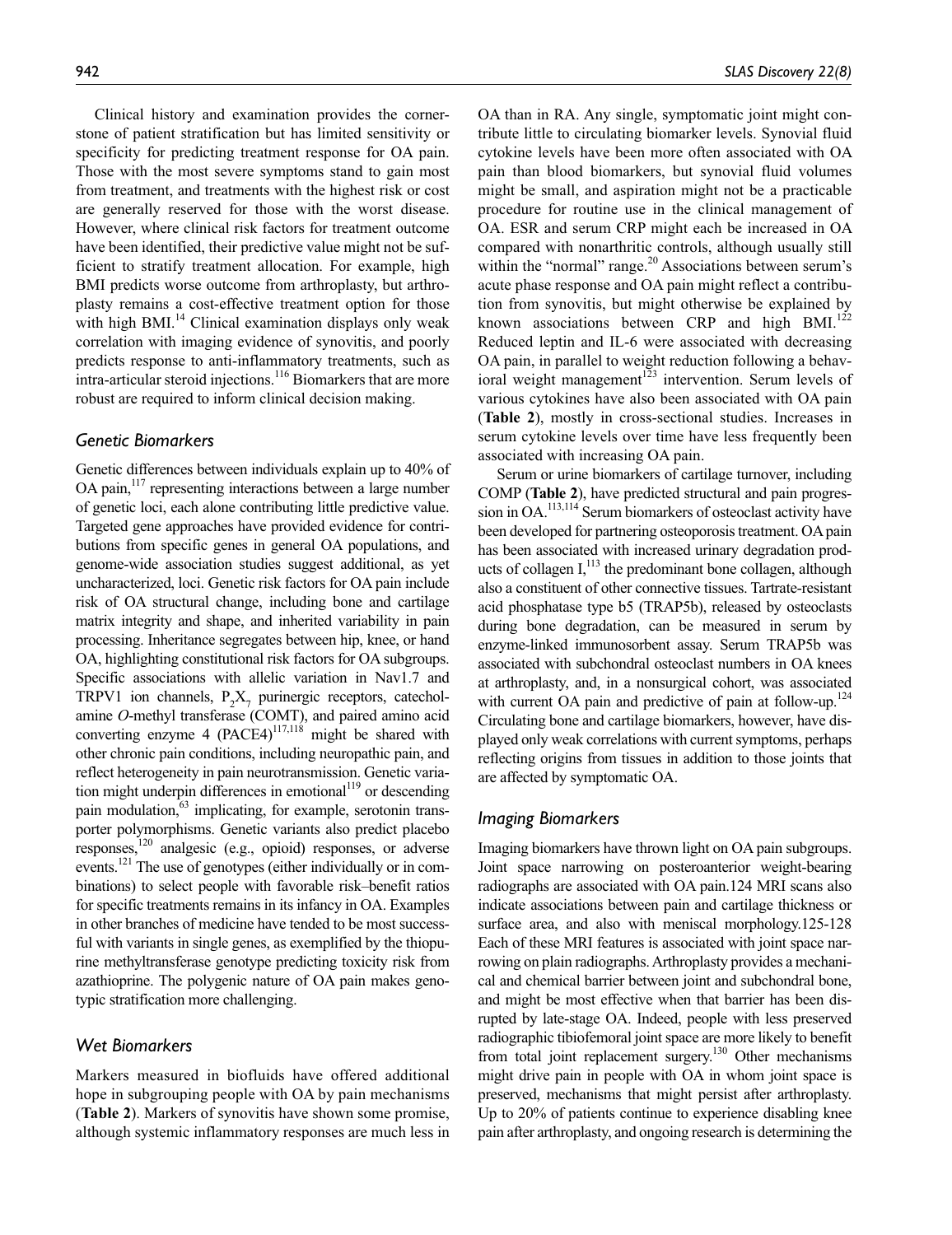Clinical history and examination provides the cornerstone of patient stratification but has limited sensitivity or specificity for predicting treatment response for OA pain. Those with the most severe symptoms stand to gain most from treatment, and treatments with the highest risk or cost are generally reserved for those with the worst disease. However, where clinical risk factors for treatment outcome have been identified, their predictive value might not be sufficient to stratify treatment allocation. For example, high BMI predicts worse outcome from arthroplasty, but arthroplasty remains a cost-effective treatment option for those with high BMI.<sup>14</sup> Clinical examination displays only weak correlation with imaging evidence of synovitis, and poorly predicts response to anti-inflammatory treatments, such as intra-articular steroid injections.<sup>116</sup> Biomarkers that are more

robust are required to inform clinical decision making.

## *Genetic Biomarkers*

Genetic differences between individuals explain up to 40% of OA pain,<sup>117</sup> representing interactions between a large number of genetic loci, each alone contributing little predictive value. Targeted gene approaches have provided evidence for contributions from specific genes in general OA populations, and genome-wide association studies suggest additional, as yet uncharacterized, loci. Genetic risk factors for OA pain include risk of OA structural change, including bone and cartilage matrix integrity and shape, and inherited variability in pain processing. Inheritance segregates between hip, knee, or hand OA, highlighting constitutional risk factors for OA subgroups. Specific associations with allelic variation in Nav1.7 and TRPV1 ion channels,  $P_2X_7$  purinergic receptors, catecholamine *O*-methyl transferase (COMT), and paired amino acid converting enzyme 4 (PACE4)<sup>117,118</sup> might be shared with other chronic pain conditions, including neuropathic pain, and reflect heterogeneity in pain neurotransmission. Genetic variation might underpin differences in emotional<sup>119</sup> or descending pain modulation, $63$  implicating, for example, serotonin transporter polymorphisms. Genetic variants also predict placebo responses,120 analgesic (e.g., opioid) responses, or adverse events.<sup>121</sup> The use of genotypes (either individually or in combinations) to select people with favorable risk–benefit ratios for specific treatments remains in its infancy in OA. Examples in other branches of medicine have tended to be most successful with variants in single genes, as exemplified by the thiopurine methyltransferase genotype predicting toxicity risk from azathioprine. The polygenic nature of OA pain makes genotypic stratification more challenging.

## *Wet Biomarkers*

Markers measured in biofluids have offered additional hope in subgrouping people with OA by pain mechanisms (**Table 2**). Markers of synovitis have shown some promise, although systemic inflammatory responses are much less in

OA than in RA. Any single, symptomatic joint might contribute little to circulating biomarker levels. Synovial fluid cytokine levels have been more often associated with OA pain than blood biomarkers, but synovial fluid volumes might be small, and aspiration might not be a practicable procedure for routine use in the clinical management of OA. ESR and serum CRP might each be increased in OA compared with nonarthritic controls, although usually still within the "normal" range. $20$  Associations between serum's acute phase response and OA pain might reflect a contribution from synovitis, but might otherwise be explained by known associations between CRP and high BMI.<sup>122</sup> Reduced leptin and IL-6 were associated with decreasing OA pain, in parallel to weight reduction following a behavioral weight management<sup>123</sup> intervention. Serum levels of various cytokines have also been associated with OA pain (**Table 2**), mostly in cross-sectional studies. Increases in serum cytokine levels over time have less frequently been associated with increasing OA pain.

Serum or urine biomarkers of cartilage turnover, including COMP (**Table 2**), have predicted structural and pain progression in OA.<sup>113,114</sup> Serum biomarkers of osteoclast activity have been developed for partnering osteoporosis treatment. OA pain has been associated with increased urinary degradation products of collagen  $I$ ,<sup>113</sup>, the predominant bone collagen, although also a constituent of other connective tissues. Tartrate-resistant acid phosphatase type b5 (TRAP5b), released by osteoclasts during bone degradation, can be measured in serum by enzyme-linked immunosorbent assay. Serum TRAP5b was associated with subchondral osteoclast numbers in OA knees at arthroplasty, and, in a nonsurgical cohort, was associated with current OA pain and predictive of pain at follow-up.<sup>124</sup> Circulating bone and cartilage biomarkers, however, have displayed only weak correlations with current symptoms, perhaps reflecting origins from tissues in addition to those joints that are affected by symptomatic OA.

## *Imaging Biomarkers*

Imaging biomarkers have thrown light on OA pain subgroups. Joint space narrowing on posteroanterior weight-bearing radiographs are associated with OA pain.124 MRI scans also indicate associations between pain and cartilage thickness or surface area, and also with meniscal morphology.125-128 Each of these MRI features is associated with joint space narrowing on plain radiographs. Arthroplasty provides a mechanical and chemical barrier between joint and subchondral bone, and might be most effective when that barrier has been disrupted by late-stage OA. Indeed, people with less preserved radiographic tibiofemoral joint space are more likely to benefit from total joint replacement surgery.<sup>130</sup> Other mechanisms might drive pain in people with OA in whom joint space is preserved, mechanisms that might persist after arthroplasty. Up to 20% of patients continue to experience disabling knee pain after arthroplasty, and ongoing research is determining the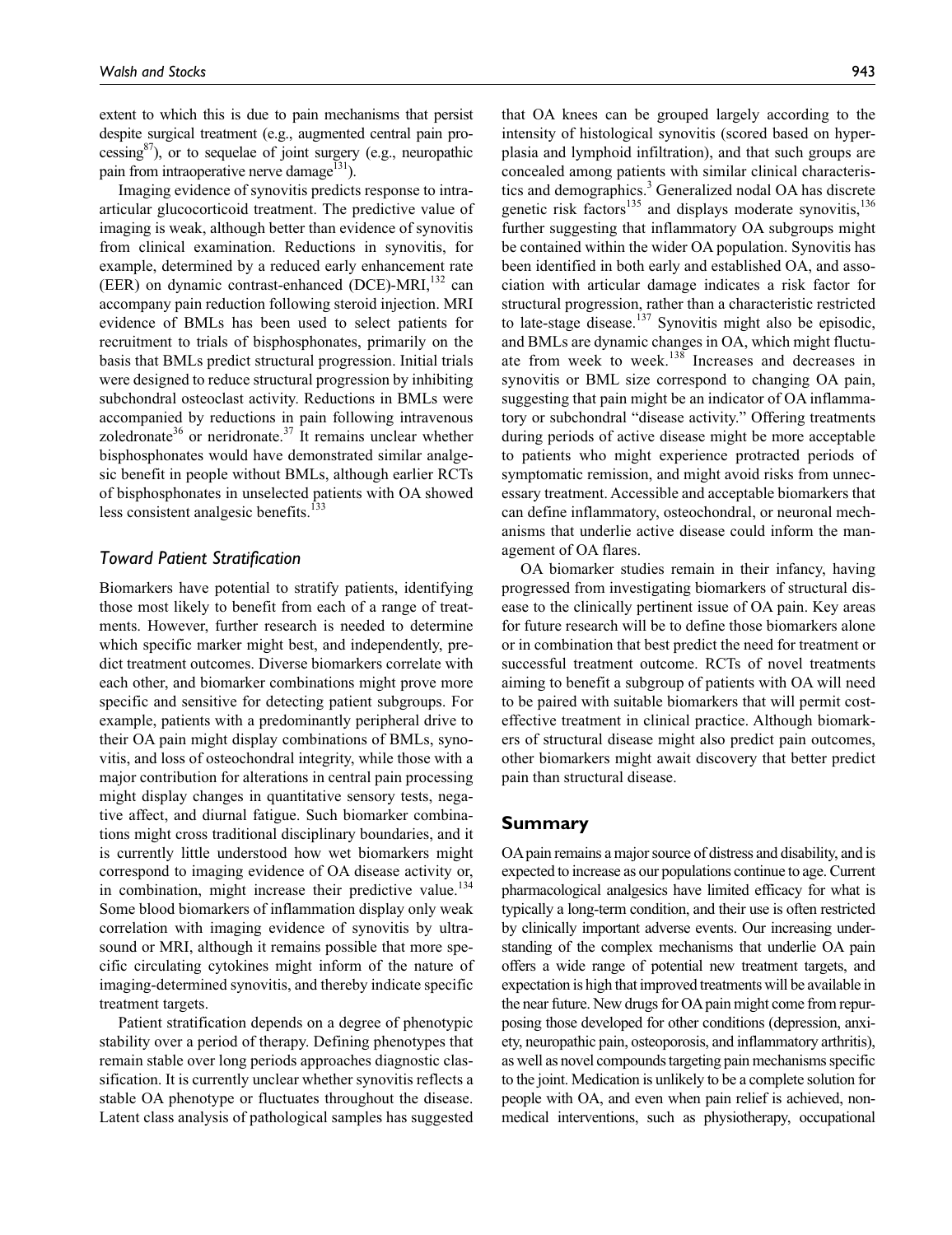extent to which this is due to pain mechanisms that persist despite surgical treatment (e.g., augmented central pain processing $8$ <sup>87</sup>), or to sequelae of joint surgery (e.g., neuropathic pain from intraoperative nerve damage<sup>131</sup>).

Imaging evidence of synovitis predicts response to intraarticular glucocorticoid treatment. The predictive value of imaging is weak, although better than evidence of synovitis from clinical examination. Reductions in synovitis, for example, determined by a reduced early enhancement rate (EER) on dynamic contrast-enhanced (DCE)-MRI $,^{132}$  can accompany pain reduction following steroid injection. MRI evidence of BMLs has been used to select patients for recruitment to trials of bisphosphonates, primarily on the basis that BMLs predict structural progression. Initial trials were designed to reduce structural progression by inhibiting subchondral osteoclast activity. Reductions in BMLs were accompanied by reductions in pain following intravenous zoledronate<sup>36</sup> or neridronate.<sup>37</sup> It remains unclear whether bisphosphonates would have demonstrated similar analgesic benefit in people without BMLs, although earlier RCTs of bisphosphonates in unselected patients with OA showed less consistent analgesic benefits.<sup>133</sup>

#### *Toward Patient Stratification*

Biomarkers have potential to stratify patients, identifying those most likely to benefit from each of a range of treatments. However, further research is needed to determine which specific marker might best, and independently, predict treatment outcomes. Diverse biomarkers correlate with each other, and biomarker combinations might prove more specific and sensitive for detecting patient subgroups. For example, patients with a predominantly peripheral drive to their OA pain might display combinations of BMLs, synovitis, and loss of osteochondral integrity, while those with a major contribution for alterations in central pain processing might display changes in quantitative sensory tests, negative affect, and diurnal fatigue. Such biomarker combinations might cross traditional disciplinary boundaries, and it is currently little understood how wet biomarkers might correspond to imaging evidence of OA disease activity or, in combination, might increase their predictive value.<sup>134</sup> Some blood biomarkers of inflammation display only weak correlation with imaging evidence of synovitis by ultrasound or MRI, although it remains possible that more specific circulating cytokines might inform of the nature of imaging-determined synovitis, and thereby indicate specific treatment targets.

Patient stratification depends on a degree of phenotypic stability over a period of therapy. Defining phenotypes that remain stable over long periods approaches diagnostic classification. It is currently unclear whether synovitis reflects a stable OA phenotype or fluctuates throughout the disease. Latent class analysis of pathological samples has suggested that OA knees can be grouped largely according to the intensity of histological synovitis (scored based on hyperplasia and lymphoid infiltration), and that such groups are concealed among patients with similar clinical characteristics and demographics.<sup>3</sup> Generalized nodal OA has discrete genetic risk factors<sup>135</sup> and displays moderate synovitis,  $136$ further suggesting that inflammatory OA subgroups might be contained within the wider OA population. Synovitis has been identified in both early and established OA, and association with articular damage indicates a risk factor for structural progression, rather than a characteristic restricted to late-stage disease.<sup>137</sup> Synovitis might also be episodic, and BMLs are dynamic changes in OA, which might fluctuate from week to week.<sup>138</sup> Increases and decreases in synovitis or BML size correspond to changing OA pain, suggesting that pain might be an indicator of OA inflammatory or subchondral "disease activity." Offering treatments during periods of active disease might be more acceptable to patients who might experience protracted periods of symptomatic remission, and might avoid risks from unnecessary treatment. Accessible and acceptable biomarkers that can define inflammatory, osteochondral, or neuronal mechanisms that underlie active disease could inform the management of OA flares.

OA biomarker studies remain in their infancy, having progressed from investigating biomarkers of structural disease to the clinically pertinent issue of OA pain. Key areas for future research will be to define those biomarkers alone or in combination that best predict the need for treatment or successful treatment outcome. RCTs of novel treatments aiming to benefit a subgroup of patients with OA will need to be paired with suitable biomarkers that will permit costeffective treatment in clinical practice. Although biomarkers of structural disease might also predict pain outcomes, other biomarkers might await discovery that better predict pain than structural disease.

#### **Summary**

OA pain remains a major source of distress and disability, and is expected to increase as our populations continue to age. Current pharmacological analgesics have limited efficacy for what is typically a long-term condition, and their use is often restricted by clinically important adverse events. Our increasing understanding of the complex mechanisms that underlie OA pain offers a wide range of potential new treatment targets, and expectation is high that improved treatments will be available in the near future. New drugs for OA pain might come from repurposing those developed for other conditions (depression, anxiety, neuropathic pain, osteoporosis, and inflammatory arthritis), as well as novel compounds targeting pain mechanisms specific to the joint. Medication is unlikely to be a complete solution for people with OA, and even when pain relief is achieved, nonmedical interventions, such as physiotherapy, occupational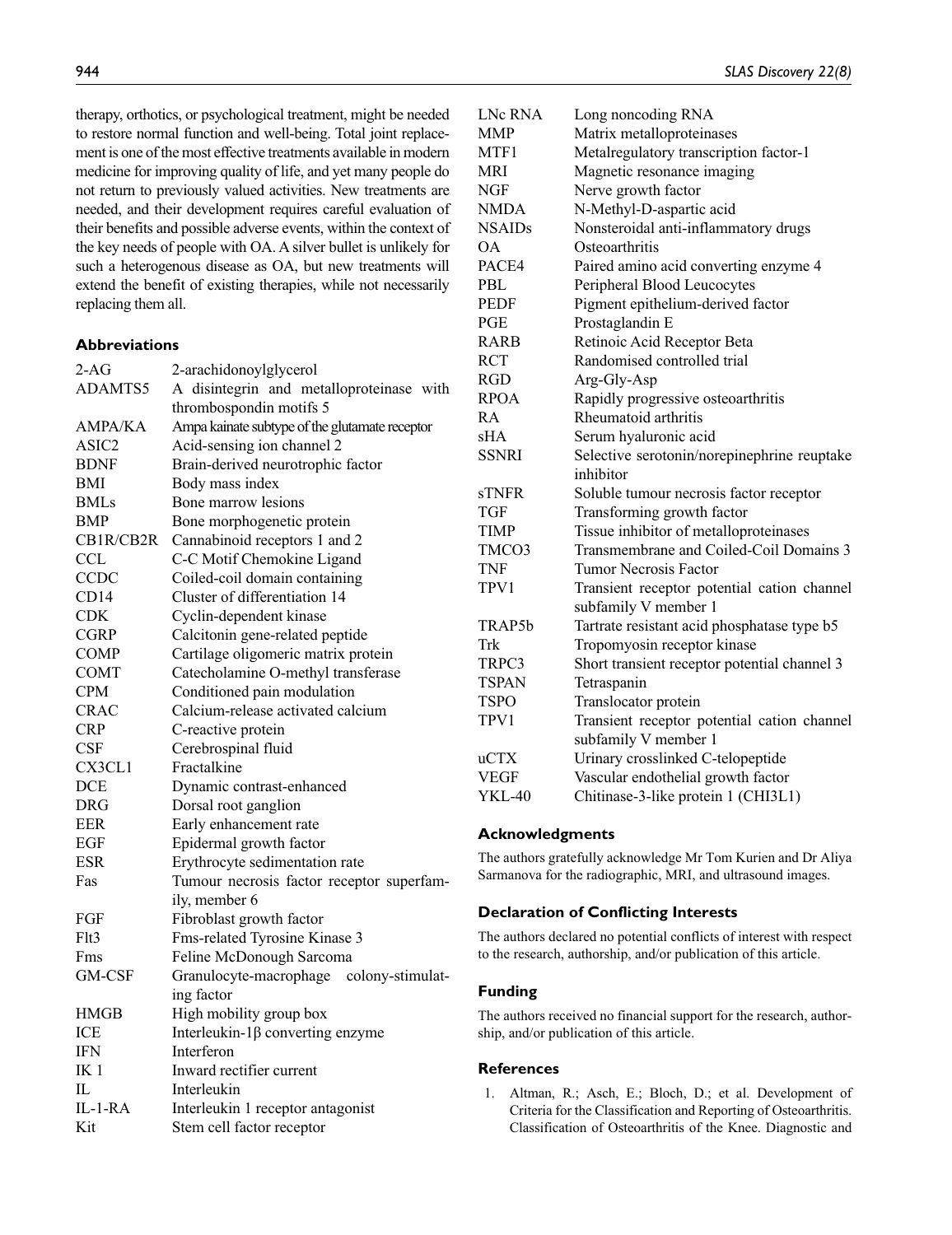therapy, orthotics, or psychological treatment, might be needed to restore normal function and well-being. Total joint replacement is one of the most effective treatments available in modern medicine for improving quality of life, and yet many people do not return to previously valued activities. New treatments are needed, and their development requires careful evaluation of their benefits and possible adverse events, within the context of the key needs of people with OA. A silver bullet is unlikely for such a heterogenous disease as OA, but new treatments will extend the benefit of existing therapies, while not necessarily replacing them all.

## **Abbreviations**

| $2-AG$          | 2-arachidonoylglycerol                         |
|-----------------|------------------------------------------------|
| ADAMTS5         | A disintegrin and metalloproteinase with       |
|                 | thrombospondin motifs 5                        |
| <b>AMPA/KA</b>  | Ampa kainate subtype of the glutamate receptor |
| ASIC2           | Acid-sensing ion channel 2                     |
| <b>BDNF</b>     | Brain-derived neurotrophic factor              |
| BMI             | Body mass index                                |
| <b>BMLs</b>     | Bone marrow lesions                            |
| BMP             | Bone morphogenetic protein                     |
| CB1R/CB2R       | Cannabinoid receptors 1 and 2                  |
| <b>CCL</b>      | C-C Motif Chemokine Ligand                     |
| CCDC            | Coiled-coil domain containing                  |
| CD14            | Cluster of differentiation 14                  |
| CDK             | Cyclin-dependent kinase                        |
| <b>CGRP</b>     | Calcitonin gene-related peptide                |
| <b>COMP</b>     | Cartilage oligomeric matrix protein            |
| COMT            | Catecholamine O-methyl transferase             |
| <b>CPM</b>      | Conditioned pain modulation                    |
| <b>CRAC</b>     | Calcium-release activated calcium              |
| <b>CRP</b>      | C-reactive protein                             |
| CSF             | Cerebrospinal fluid                            |
| CX3CL1          | Fractalkine                                    |
| <b>DCE</b>      | Dynamic contrast-enhanced                      |
| <b>DRG</b>      | Dorsal root ganglion                           |
| <b>EER</b>      | Early enhancement rate                         |
| EGF             | Epidermal growth factor                        |
| <b>ESR</b>      | Erythrocyte sedimentation rate                 |
| Fas             | Tumour necrosis factor receptor superfam-      |
|                 | ily, member 6                                  |
| FGF             | Fibroblast growth factor                       |
| Flt3            | Fms-related Tyrosine Kinase 3                  |
| Fms             | Feline McDonough Sarcoma                       |
| GM-CSF          | Granulocyte-macrophage colony-stimulat-        |
|                 | ing factor                                     |
| HMGB            | High mobility group box                        |
| ICE             | Interleukin- $1\beta$ converting enzyme        |
| <b>IFN</b>      | Interferon                                     |
| IK <sub>1</sub> | Inward rectifier current                       |
| IL              | Interleukin                                    |
| IL-1-RA         | Interleukin 1 receptor antagonist              |
| Kit             | Stem cell factor receptor                      |

| <b>LNc RNA</b> | Long noncoding RNA                           |
|----------------|----------------------------------------------|
| <b>MMP</b>     | Matrix metalloproteinases                    |
| MTF1           | Metalregulatory transcription factor-1       |
| MRI            | Magnetic resonance imaging                   |
| NGF            | Nerve growth factor                          |
| <b>NMDA</b>    | N-Methyl-D-aspartic acid                     |
| <b>NSAIDs</b>  | Nonsteroidal anti-inflammatory drugs         |
| ÓА             | Osteoarthritis                               |
| PACE4          | Paired amino acid converting enzyme 4        |
| PBL            | Peripheral Blood Leucocytes                  |
| PEDF           | Pigment epithelium-derived factor            |
| PGE            | Prostaglandin E                              |
| RARB           | Retinoic Acid Receptor Beta                  |
| RCT            | Randomised controlled trial                  |
| RGD            | Arg-Gly-Asp                                  |
| RPOA           | Rapidly progressive osteoarthritis           |
| RA             | Rheumatoid arthritis                         |
| sHA            | Serum hyaluronic acid                        |
| <b>SSNRI</b>   | Selective serotonin/norepinephrine reuptake  |
|                | inhibitor                                    |
| sTNFR          | Soluble tumour necrosis factor receptor      |
| TGF            | Transforming growth factor                   |
| <b>TIMP</b>    | Tissue inhibitor of metalloproteinases       |
| TMCO3          | Transmembrane and Coiled-Coil Domains 3      |
| TNF            | <b>Tumor Necrosis Factor</b>                 |
| TPV1           | Transient receptor potential cation channel  |
|                | subfamily V member 1                         |
| TRAP5b         | Tartrate resistant acid phosphatase type b5  |
| Trk            | Tropomyosin receptor kinase                  |
| TRPC3          | Short transient receptor potential channel 3 |
| <b>TSPAN</b>   | Tetraspanin                                  |
| TSPO           | Translocator protein                         |
| TPV1           | Transient receptor potential cation channel  |
|                | subfamily V member 1                         |
| uCTX           | Urinary crosslinked C-telopeptide            |
| <b>VEGF</b>    | Vascular endothelial growth factor           |
| <b>YKL-40</b>  | Chitinase-3-like protein 1 (CHI3L1)          |

#### **Acknowledgments**

The authors gratefully acknowledge Mr Tom Kurien and Dr Aliya Sarmanova for the radiographic, MRI, and ultrasound images.

#### **Declaration of Conflicting Interests**

The authors declared no potential conflicts of interest with respect to the research, authorship, and/or publication of this article.

#### **Funding**

The authors received no financial support for the research, authorship, and/or publication of this article.

#### **References**

1. Altman, R.; Asch, E.; Bloch, D.; et al. Development of Criteria for the Classification and Reporting of Osteoarthritis. Classification of Osteoarthritis of the Knee. Diagnostic and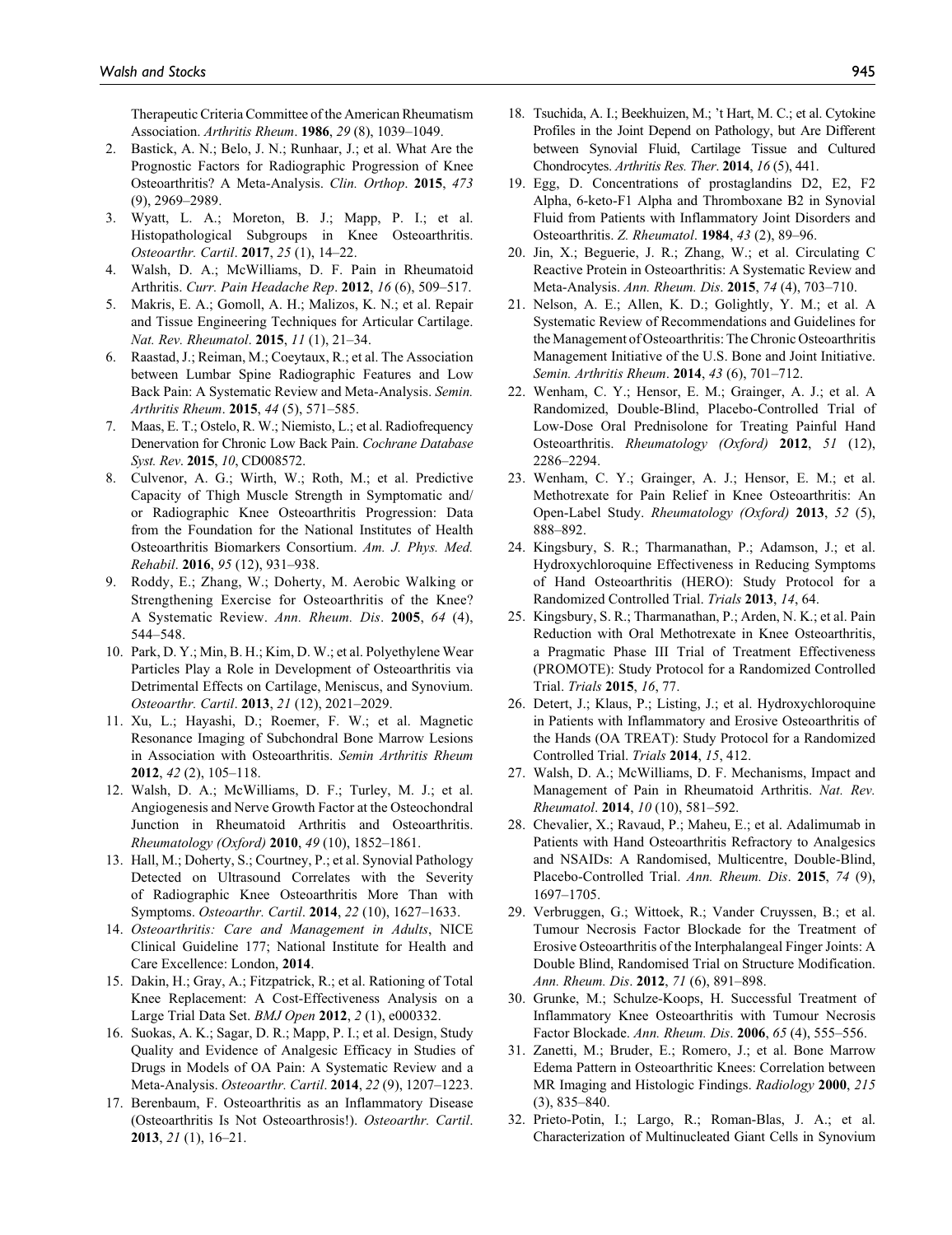Therapeutic Criteria Committee of the American Rheumatism Association. *Arthritis Rheum*. **1986**, *29* (8), 1039–1049.

- 2. Bastick, A. N.; Belo, J. N.; Runhaar, J.; et al. What Are the Prognostic Factors for Radiographic Progression of Knee Osteoarthritis? A Meta-Analysis. *Clin. Orthop*. **2015**, *473* (9), 2969–2989.
- 3. Wyatt, L. A.; Moreton, B. J.; Mapp, P. I.; et al. Histopathological Subgroups in Knee Osteoarthritis. *Osteoarthr. Cartil*. **2017**, *25* (1), 14–22.
- 4. Walsh, D. A.; McWilliams, D. F. Pain in Rheumatoid Arthritis. *Curr. Pain Headache Rep*. **2012**, *16* (6), 509–517.
- 5. Makris, E. A.; Gomoll, A. H.; Malizos, K. N.; et al. Repair and Tissue Engineering Techniques for Articular Cartilage. *Nat. Rev. Rheumatol*. **2015**, *11* (1), 21–34.
- 6. Raastad, J.; Reiman, M.; Coeytaux, R.; et al. The Association between Lumbar Spine Radiographic Features and Low Back Pain: A Systematic Review and Meta-Analysis. *Semin. Arthritis Rheum*. **2015**, *44* (5), 571–585.
- 7. Maas, E. T.; Ostelo, R. W.; Niemisto, L.; et al. Radiofrequency Denervation for Chronic Low Back Pain. *Cochrane Database Syst. Rev*. **2015**, *10*, CD008572.
- 8. Culvenor, A. G.; Wirth, W.; Roth, M.; et al. Predictive Capacity of Thigh Muscle Strength in Symptomatic and/ or Radiographic Knee Osteoarthritis Progression: Data from the Foundation for the National Institutes of Health Osteoarthritis Biomarkers Consortium. *Am. J. Phys. Med. Rehabil*. **2016**, *95* (12), 931–938.
- 9. Roddy, E.; Zhang, W.; Doherty, M. Aerobic Walking or Strengthening Exercise for Osteoarthritis of the Knee? A Systematic Review. *Ann. Rheum. Dis*. **2005**, *64* (4), 544–548.
- 10. Park, D. Y.; Min, B. H.; Kim, D. W.; et al. Polyethylene Wear Particles Play a Role in Development of Osteoarthritis via Detrimental Effects on Cartilage, Meniscus, and Synovium. *Osteoarthr. Cartil*. **2013**, *21* (12), 2021–2029.
- 11. Xu, L.; Hayashi, D.; Roemer, F. W.; et al. Magnetic Resonance Imaging of Subchondral Bone Marrow Lesions in Association with Osteoarthritis. *Semin Arthritis Rheum* **2012**, *42* (2), 105–118.
- 12. Walsh, D. A.; McWilliams, D. F.; Turley, M. J.; et al. Angiogenesis and Nerve Growth Factor at the Osteochondral Junction in Rheumatoid Arthritis and Osteoarthritis. *Rheumatology (Oxford)* **2010**, *49* (10), 1852–1861.
- 13. Hall, M.; Doherty, S.; Courtney, P.; et al. Synovial Pathology Detected on Ultrasound Correlates with the Severity of Radiographic Knee Osteoarthritis More Than with Symptoms. *Osteoarthr. Cartil*. **2014**, *22* (10), 1627–1633.
- 14. *Osteoarthritis: Care and Management in Adults*, NICE Clinical Guideline 177; National Institute for Health and Care Excellence: London, **2014**.
- 15. Dakin, H.; Gray, A.; Fitzpatrick, R.; et al. Rationing of Total Knee Replacement: A Cost-Effectiveness Analysis on a Large Trial Data Set. *BMJ Open* **2012**, *2* (1), e000332.
- 16. Suokas, A. K.; Sagar, D. R.; Mapp, P. I.; et al. Design, Study Quality and Evidence of Analgesic Efficacy in Studies of Drugs in Models of OA Pain: A Systematic Review and a Meta-Analysis. *Osteoarthr. Cartil*. **2014**, *22* (9), 1207–1223.
- 17. Berenbaum, F. Osteoarthritis as an Inflammatory Disease (Osteoarthritis Is Not Osteoarthrosis!). *Osteoarthr. Cartil*. **2013**, *21* (1), 16–21.
- 18. Tsuchida, A. I.; Beekhuizen, M.; 't Hart, M. C.; et al. Cytokine Profiles in the Joint Depend on Pathology, but Are Different between Synovial Fluid, Cartilage Tissue and Cultured Chondrocytes. *Arthritis Res. Ther*. **2014**, *16* (5), 441.
- 19. Egg, D. Concentrations of prostaglandins D2, E2, F2 Alpha, 6-keto-F1 Alpha and Thromboxane B2 in Synovial Fluid from Patients with Inflammatory Joint Disorders and Osteoarthritis. *Z. Rheumatol*. **1984**, *43* (2), 89–96.
- 20. Jin, X.; Beguerie, J. R.; Zhang, W.; et al. Circulating C Reactive Protein in Osteoarthritis: A Systematic Review and Meta-Analysis. *Ann. Rheum. Dis*. **2015**, *74* (4), 703–710.
- 21. Nelson, A. E.; Allen, K. D.; Golightly, Y. M.; et al. A Systematic Review of Recommendations and Guidelines for the Management of Osteoarthritis: The Chronic Osteoarthritis Management Initiative of the U.S. Bone and Joint Initiative. *Semin. Arthritis Rheum*. **2014**, *43* (6), 701–712.
- 22. Wenham, C. Y.; Hensor, E. M.; Grainger, A. J.; et al. A Randomized, Double-Blind, Placebo-Controlled Trial of Low-Dose Oral Prednisolone for Treating Painful Hand Osteoarthritis. *Rheumatology (Oxford)* **2012**, *51* (12), 2286–2294.
- 23. Wenham, C. Y.; Grainger, A. J.; Hensor, E. M.; et al. Methotrexate for Pain Relief in Knee Osteoarthritis: An Open-Label Study. *Rheumatology (Oxford)* **2013**, *52* (5), 888–892.
- 24. Kingsbury, S. R.; Tharmanathan, P.; Adamson, J.; et al. Hydroxychloroquine Effectiveness in Reducing Symptoms of Hand Osteoarthritis (HERO): Study Protocol for a Randomized Controlled Trial. *Trials* **2013**, *14*, 64.
- 25. Kingsbury, S. R.; Tharmanathan, P.; Arden, N. K.; et al. Pain Reduction with Oral Methotrexate in Knee Osteoarthritis, a Pragmatic Phase III Trial of Treatment Effectiveness (PROMOTE): Study Protocol for a Randomized Controlled Trial. *Trials* **2015**, *16*, 77.
- 26. Detert, J.; Klaus, P.; Listing, J.; et al. Hydroxychloroquine in Patients with Inflammatory and Erosive Osteoarthritis of the Hands (OA TREAT): Study Protocol for a Randomized Controlled Trial. *Trials* **2014**, *15*, 412.
- 27. Walsh, D. A.; McWilliams, D. F. Mechanisms, Impact and Management of Pain in Rheumatoid Arthritis. *Nat. Rev. Rheumatol*. **2014**, *10* (10), 581–592.
- 28. Chevalier, X.; Ravaud, P.; Maheu, E.; et al. Adalimumab in Patients with Hand Osteoarthritis Refractory to Analgesics and NSAIDs: A Randomised, Multicentre, Double-Blind, Placebo-Controlled Trial. *Ann. Rheum. Dis*. **2015**, *74* (9), 1697–1705.
- 29. Verbruggen, G.; Wittoek, R.; Vander Cruyssen, B.; et al. Tumour Necrosis Factor Blockade for the Treatment of Erosive Osteoarthritis of the Interphalangeal Finger Joints: A Double Blind, Randomised Trial on Structure Modification. *Ann. Rheum. Dis*. **2012**, *71* (6), 891–898.
- 30. Grunke, M.; Schulze-Koops, H. Successful Treatment of Inflammatory Knee Osteoarthritis with Tumour Necrosis Factor Blockade. *Ann. Rheum. Dis*. **2006**, *65* (4), 555–556.
- 31. Zanetti, M.; Bruder, E.; Romero, J.; et al. Bone Marrow Edema Pattern in Osteoarthritic Knees: Correlation between MR Imaging and Histologic Findings. *Radiology* **2000**, *215* (3), 835–840.
- 32. Prieto-Potin, I.; Largo, R.; Roman-Blas, J. A.; et al. Characterization of Multinucleated Giant Cells in Synovium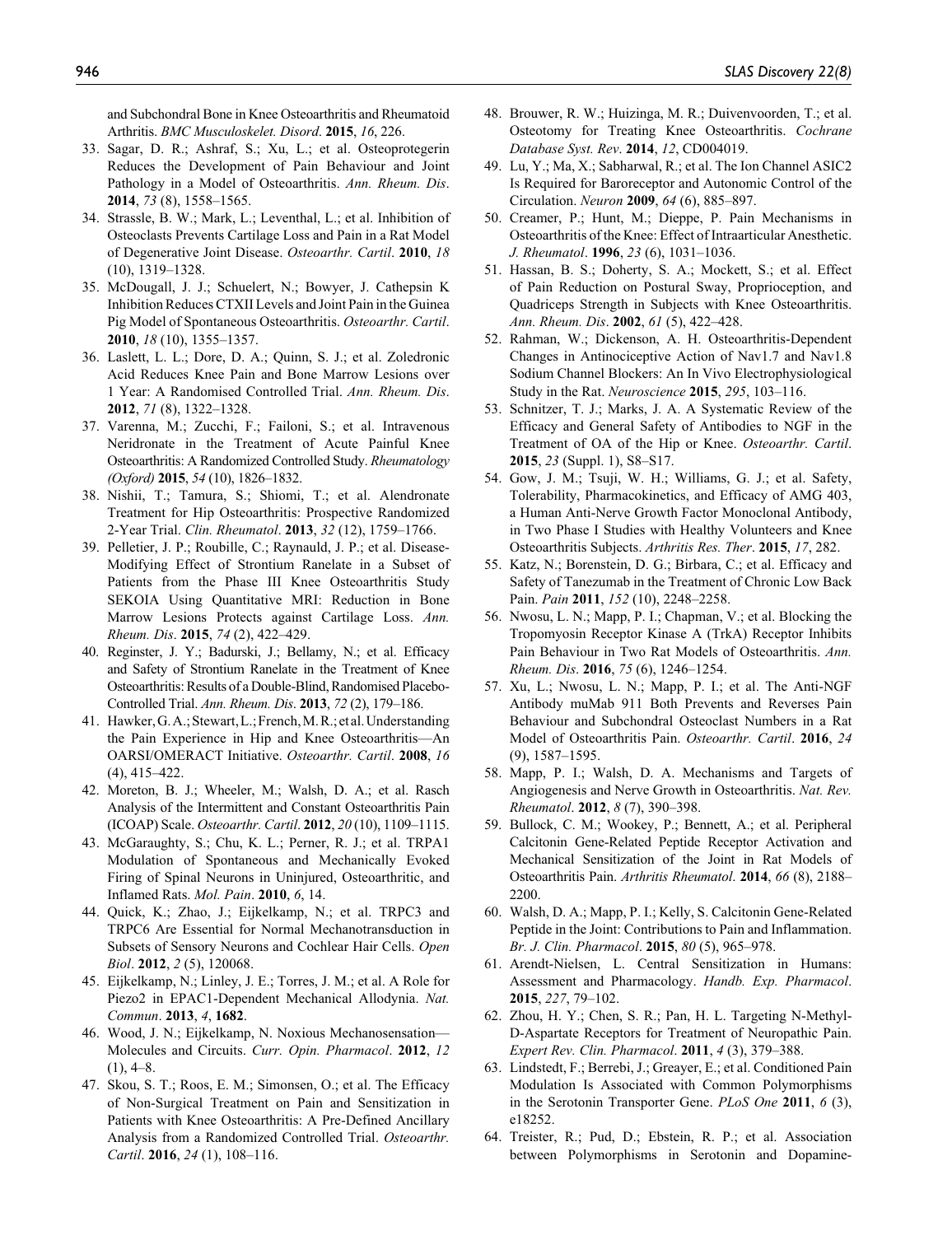and Subchondral Bone in Knee Osteoarthritis and Rheumatoid Arthritis. *BMC Musculoskelet. Disord*. **2015**, *16*, 226.

- 33. Sagar, D. R.; Ashraf, S.; Xu, L.; et al. Osteoprotegerin Reduces the Development of Pain Behaviour and Joint Pathology in a Model of Osteoarthritis. *Ann. Rheum. Dis*. **2014**, *73* (8), 1558–1565.
- 34. Strassle, B. W.; Mark, L.; Leventhal, L.; et al. Inhibition of Osteoclasts Prevents Cartilage Loss and Pain in a Rat Model of Degenerative Joint Disease. *Osteoarthr. Cartil*. **2010**, *18* (10), 1319–1328.
- 35. McDougall, J. J.; Schuelert, N.; Bowyer, J. Cathepsin K Inhibition Reduces CTXII Levels and Joint Pain in the Guinea Pig Model of Spontaneous Osteoarthritis. *Osteoarthr. Cartil*. **2010**, *18* (10), 1355–1357.
- 36. Laslett, L. L.; Dore, D. A.; Quinn, S. J.; et al. Zoledronic Acid Reduces Knee Pain and Bone Marrow Lesions over 1 Year: A Randomised Controlled Trial. *Ann. Rheum. Dis*. **2012**, *71* (8), 1322–1328.
- 37. Varenna, M.; Zucchi, F.; Failoni, S.; et al. Intravenous Neridronate in the Treatment of Acute Painful Knee Osteoarthritis: A Randomized Controlled Study. *Rheumatology (Oxford)* **2015**, *54* (10), 1826–1832.
- 38. Nishii, T.; Tamura, S.; Shiomi, T.; et al. Alendronate Treatment for Hip Osteoarthritis: Prospective Randomized 2-Year Trial. *Clin. Rheumatol*. **2013**, *32* (12), 1759–1766.
- 39. Pelletier, J. P.; Roubille, C.; Raynauld, J. P.; et al. Disease-Modifying Effect of Strontium Ranelate in a Subset of Patients from the Phase III Knee Osteoarthritis Study SEKOIA Using Quantitative MRI: Reduction in Bone Marrow Lesions Protects against Cartilage Loss. *Ann. Rheum. Dis*. **2015**, *74* (2), 422–429.
- 40. Reginster, J. Y.; Badurski, J.; Bellamy, N.; et al. Efficacy and Safety of Strontium Ranelate in the Treatment of Knee Osteoarthritis: Results of a Double-Blind, Randomised Placebo-Controlled Trial. *Ann. Rheum. Dis*. **2013**, *72* (2), 179–186.
- 41. Hawker, G. A.; Stewart, L.; French, M. R.; etal. Understanding the Pain Experience in Hip and Knee Osteoarthritis—An OARSI/OMERACT Initiative. *Osteoarthr. Cartil*. **2008**, *16* (4), 415–422.
- 42. Moreton, B. J.; Wheeler, M.; Walsh, D. A.; et al. Rasch Analysis of the Intermittent and Constant Osteoarthritis Pain (ICOAP) Scale. *Osteoarthr. Cartil*. **2012**, *20* (10), 1109–1115.
- 43. McGaraughty, S.; Chu, K. L.; Perner, R. J.; et al. TRPA1 Modulation of Spontaneous and Mechanically Evoked Firing of Spinal Neurons in Uninjured, Osteoarthritic, and Inflamed Rats. *Mol. Pain*. **2010**, *6*, 14.
- 44. Quick, K.; Zhao, J.; Eijkelkamp, N.; et al. TRPC3 and TRPC6 Are Essential for Normal Mechanotransduction in Subsets of Sensory Neurons and Cochlear Hair Cells. *Open Biol*. **2012**, *2* (5), 120068.
- 45. Eijkelkamp, N.; Linley, J. E.; Torres, J. M.; et al. A Role for Piezo2 in EPAC1-Dependent Mechanical Allodynia. *Nat. Commun*. **2013**, *4*, **1682**.
- 46. Wood, J. N.; Eijkelkamp, N. Noxious Mechanosensation— Molecules and Circuits. *Curr. Opin. Pharmacol*. **2012**, *12*  $(1), 4–8.$
- 47. Skou, S. T.; Roos, E. M.; Simonsen, O.; et al. The Efficacy of Non-Surgical Treatment on Pain and Sensitization in Patients with Knee Osteoarthritis: A Pre-Defined Ancillary Analysis from a Randomized Controlled Trial. *Osteoarthr. Cartil*. **2016**, *24* (1), 108–116.
- 48. Brouwer, R. W.; Huizinga, M. R.; Duivenvoorden, T.; et al. Osteotomy for Treating Knee Osteoarthritis. *Cochrane Database Syst. Rev*. **2014**, *12*, CD004019.
- 49. Lu, Y.; Ma, X.; Sabharwal, R.; et al. The Ion Channel ASIC2 Is Required for Baroreceptor and Autonomic Control of the Circulation. *Neuron* **2009**, *64* (6), 885–897.
- 50. Creamer, P.; Hunt, M.; Dieppe, P. Pain Mechanisms in Osteoarthritis of the Knee: Effect of Intraarticular Anesthetic. *J. Rheumatol*. **1996**, *23* (6), 1031–1036.
- 51. Hassan, B. S.; Doherty, S. A.; Mockett, S.; et al. Effect of Pain Reduction on Postural Sway, Proprioception, and Quadriceps Strength in Subjects with Knee Osteoarthritis. *Ann. Rheum. Dis*. **2002**, *61* (5), 422–428.
- 52. Rahman, W.; Dickenson, A. H. Osteoarthritis-Dependent Changes in Antinociceptive Action of Nav1.7 and Nav1.8 Sodium Channel Blockers: An In Vivo Electrophysiological Study in the Rat. *Neuroscience* **2015**, *295*, 103–116.
- 53. Schnitzer, T. J.; Marks, J. A. A Systematic Review of the Efficacy and General Safety of Antibodies to NGF in the Treatment of OA of the Hip or Knee. *Osteoarthr. Cartil*. **2015**, *23* (Suppl. 1), S8–S17.
- 54. Gow, J. M.; Tsuji, W. H.; Williams, G. J.; et al. Safety, Tolerability, Pharmacokinetics, and Efficacy of AMG 403, a Human Anti-Nerve Growth Factor Monoclonal Antibody, in Two Phase I Studies with Healthy Volunteers and Knee Osteoarthritis Subjects. *Arthritis Res. Ther*. **2015**, *17*, 282.
- 55. Katz, N.; Borenstein, D. G.; Birbara, C.; et al. Efficacy and Safety of Tanezumab in the Treatment of Chronic Low Back Pain. *Pain* **2011**, *152* (10), 2248–2258.
- 56. Nwosu, L. N.; Mapp, P. I.; Chapman, V.; et al. Blocking the Tropomyosin Receptor Kinase A (TrkA) Receptor Inhibits Pain Behaviour in Two Rat Models of Osteoarthritis. *Ann. Rheum. Dis*. **2016**, *75* (6), 1246–1254.
- 57. Xu, L.; Nwosu, L. N.; Mapp, P. I.; et al. The Anti-NGF Antibody muMab 911 Both Prevents and Reverses Pain Behaviour and Subchondral Osteoclast Numbers in a Rat Model of Osteoarthritis Pain. *Osteoarthr. Cartil*. **2016**, *24* (9), 1587–1595.
- 58. Mapp, P. I.; Walsh, D. A. Mechanisms and Targets of Angiogenesis and Nerve Growth in Osteoarthritis. *Nat. Rev. Rheumatol*. **2012**, *8* (7), 390–398.
- 59. Bullock, C. M.; Wookey, P.; Bennett, A.; et al. Peripheral Calcitonin Gene-Related Peptide Receptor Activation and Mechanical Sensitization of the Joint in Rat Models of Osteoarthritis Pain. *Arthritis Rheumatol*. **2014**, *66* (8), 2188– 2200.
- 60. Walsh, D. A.; Mapp, P. I.; Kelly, S. Calcitonin Gene-Related Peptide in the Joint: Contributions to Pain and Inflammation. *Br. J. Clin. Pharmacol*. **2015**, *80* (5), 965–978.
- 61. Arendt-Nielsen, L. Central Sensitization in Humans: Assessment and Pharmacology. *Handb. Exp. Pharmacol*. **2015**, *227*, 79–102.
- 62. Zhou, H. Y.; Chen, S. R.; Pan, H. L. Targeting N-Methyl-D-Aspartate Receptors for Treatment of Neuropathic Pain. *Expert Rev. Clin. Pharmacol*. **2011**, *4* (3), 379–388.
- 63. Lindstedt, F.; Berrebi, J.; Greayer, E.; et al. Conditioned Pain Modulation Is Associated with Common Polymorphisms in the Serotonin Transporter Gene. *PLoS One* **2011**, *6* (3), e18252.
- 64. Treister, R.; Pud, D.; Ebstein, R. P.; et al. Association between Polymorphisms in Serotonin and Dopamine-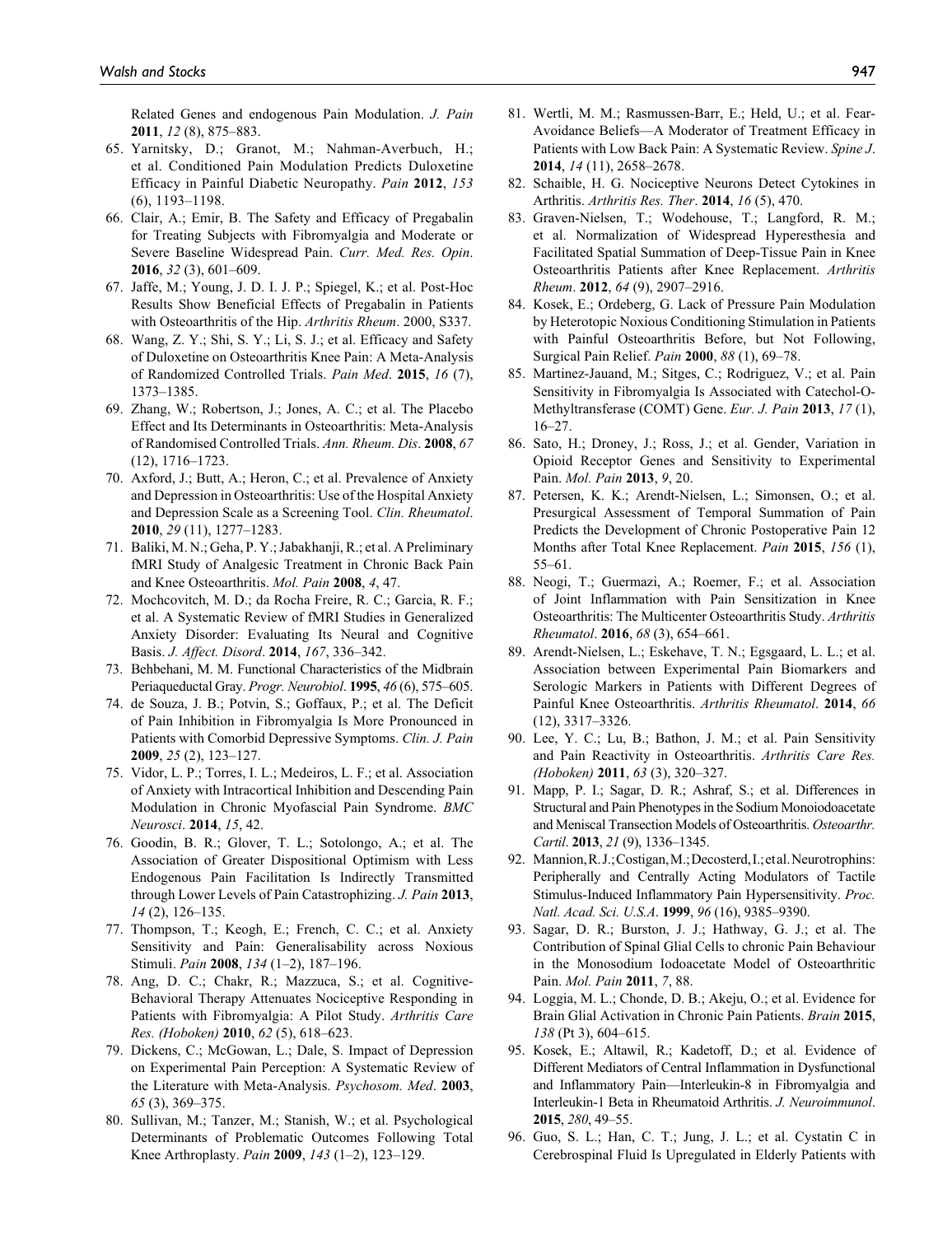Related Genes and endogenous Pain Modulation. *J. Pain* **2011**, *12* (8), 875–883.

- 65. Yarnitsky, D.; Granot, M.; Nahman-Averbuch, H.; et al. Conditioned Pain Modulation Predicts Duloxetine Efficacy in Painful Diabetic Neuropathy. *Pain* **2012**, *153* (6), 1193–1198.
- 66. Clair, A.; Emir, B. The Safety and Efficacy of Pregabalin for Treating Subjects with Fibromyalgia and Moderate or Severe Baseline Widespread Pain. *Curr. Med. Res. Opin*. **2016**, *32* (3), 601–609.
- 67. Jaffe, M.; Young, J. D. I. J. P.; Spiegel, K.; et al. Post-Hoc Results Show Beneficial Effects of Pregabalin in Patients with Osteoarthritis of the Hip. *Arthritis Rheum*. 2000, S337.
- 68. Wang, Z. Y.; Shi, S. Y.; Li, S. J.; et al. Efficacy and Safety of Duloxetine on Osteoarthritis Knee Pain: A Meta-Analysis of Randomized Controlled Trials. *Pain Med*. **2015**, *16* (7), 1373–1385.
- 69. Zhang, W.; Robertson, J.; Jones, A. C.; et al. The Placebo Effect and Its Determinants in Osteoarthritis: Meta-Analysis of Randomised Controlled Trials. *Ann. Rheum. Dis*. **2008**, *67* (12), 1716–1723.
- 70. Axford, J.; Butt, A.; Heron, C.; et al. Prevalence of Anxiety and Depression in Osteoarthritis: Use of the Hospital Anxiety and Depression Scale as a Screening Tool. *Clin. Rheumatol*. **2010**, *29* (11), 1277–1283.
- 71. Baliki, M. N.; Geha, P. Y.; Jabakhanji, R.; et al. A Preliminary fMRI Study of Analgesic Treatment in Chronic Back Pain and Knee Osteoarthritis. *Mol. Pain* **2008**, *4*, 47.
- 72. Mochcovitch, M. D.; da Rocha Freire, R. C.; Garcia, R. F.; et al. A Systematic Review of fMRI Studies in Generalized Anxiety Disorder: Evaluating Its Neural and Cognitive Basis. *J. Affect. Disord*. **2014**, *167*, 336–342.
- 73. Behbehani, M. M. Functional Characteristics of the Midbrain Periaqueductal Gray. *Progr. Neurobiol*. **1995**, *46* (6), 575–605.
- 74. de Souza, J. B.; Potvin, S.; Goffaux, P.; et al. The Deficit of Pain Inhibition in Fibromyalgia Is More Pronounced in Patients with Comorbid Depressive Symptoms. *Clin. J. Pain* **2009**, *25* (2), 123–127.
- 75. Vidor, L. P.; Torres, I. L.; Medeiros, L. F.; et al. Association of Anxiety with Intracortical Inhibition and Descending Pain Modulation in Chronic Myofascial Pain Syndrome. *BMC Neurosci*. **2014**, *15*, 42.
- 76. Goodin, B. R.; Glover, T. L.; Sotolongo, A.; et al. The Association of Greater Dispositional Optimism with Less Endogenous Pain Facilitation Is Indirectly Transmitted through Lower Levels of Pain Catastrophizing. *J. Pain* **2013**, *14* (2), 126–135.
- 77. Thompson, T.; Keogh, E.; French, C. C.; et al. Anxiety Sensitivity and Pain: Generalisability across Noxious Stimuli. *Pain* **2008**, *134* (1–2), 187–196.
- 78. Ang, D. C.; Chakr, R.; Mazzuca, S.; et al. Cognitive-Behavioral Therapy Attenuates Nociceptive Responding in Patients with Fibromyalgia: A Pilot Study. *Arthritis Care Res. (Hoboken)* **2010**, *62* (5), 618–623.
- 79. Dickens, C.; McGowan, L.; Dale, S. Impact of Depression on Experimental Pain Perception: A Systematic Review of the Literature with Meta-Analysis. *Psychosom. Med*. **2003**, *65* (3), 369–375.
- 80. Sullivan, M.; Tanzer, M.; Stanish, W.; et al. Psychological Determinants of Problematic Outcomes Following Total Knee Arthroplasty. *Pain* **2009**, *143* (1–2), 123–129.
- 81. Wertli, M. M.; Rasmussen-Barr, E.; Held, U.; et al. Fear-Avoidance Beliefs—A Moderator of Treatment Efficacy in Patients with Low Back Pain: A Systematic Review. *Spine J*. **2014**, *14* (11), 2658–2678.
- 82. Schaible, H. G. Nociceptive Neurons Detect Cytokines in Arthritis. *Arthritis Res. Ther*. **2014**, *16* (5), 470.
- 83. Graven-Nielsen, T.; Wodehouse, T.; Langford, R. M.; et al. Normalization of Widespread Hyperesthesia and Facilitated Spatial Summation of Deep-Tissue Pain in Knee Osteoarthritis Patients after Knee Replacement. *Arthritis Rheum*. **2012**, *64* (9), 2907–2916.
- 84. Kosek, E.; Ordeberg, G. Lack of Pressure Pain Modulation by Heterotopic Noxious Conditioning Stimulation in Patients with Painful Osteoarthritis Before, but Not Following, Surgical Pain Relief. *Pain* **2000**, *88* (1), 69–78.
- 85. Martinez-Jauand, M.; Sitges, C.; Rodriguez, V.; et al. Pain Sensitivity in Fibromyalgia Is Associated with Catechol-O-Methyltransferase (COMT) Gene. *Eur. J. Pain* **2013**, *17* (1), 16–27.
- 86. Sato, H.; Droney, J.; Ross, J.; et al. Gender, Variation in Opioid Receptor Genes and Sensitivity to Experimental Pain. *Mol. Pain* **2013**, *9*, 20.
- 87. Petersen, K. K.; Arendt-Nielsen, L.; Simonsen, O.; et al. Presurgical Assessment of Temporal Summation of Pain Predicts the Development of Chronic Postoperative Pain 12 Months after Total Knee Replacement. *Pain* **2015**, *156* (1), 55–61.
- 88. Neogi, T.; Guermazi, A.; Roemer, F.; et al. Association of Joint Inflammation with Pain Sensitization in Knee Osteoarthritis: The Multicenter Osteoarthritis Study. *Arthritis Rheumatol*. **2016**, *68* (3), 654–661.
- 89. Arendt-Nielsen, L.; Eskehave, T. N.; Egsgaard, L. L.; et al. Association between Experimental Pain Biomarkers and Serologic Markers in Patients with Different Degrees of Painful Knee Osteoarthritis. *Arthritis Rheumatol*. **2014**, *66* (12), 3317–3326.
- 90. Lee, Y. C.; Lu, B.; Bathon, J. M.; et al. Pain Sensitivity and Pain Reactivity in Osteoarthritis. *Arthritis Care Res. (Hoboken)* **2011**, *63* (3), 320–327.
- 91. Mapp, P. I.; Sagar, D. R.; Ashraf, S.; et al. Differences in Structural and Pain Phenotypes in the Sodium Monoiodoacetate and Meniscal Transection Models of Osteoarthritis. *Osteoarthr. Cartil*. **2013**, *21* (9), 1336–1345.
- 92. Mannion, R. J.; Costigan, M.; Decosterd, I.; etal. Neurotrophins: Peripherally and Centrally Acting Modulators of Tactile Stimulus-Induced Inflammatory Pain Hypersensitivity. *Proc. Natl. Acad. Sci. U.S.A*. **1999**, *96* (16), 9385–9390.
- 93. Sagar, D. R.; Burston, J. J.; Hathway, G. J.; et al. The Contribution of Spinal Glial Cells to chronic Pain Behaviour in the Monosodium Iodoacetate Model of Osteoarthritic Pain. *Mol. Pain* **2011**, *7*, 88.
- 94. Loggia, M. L.; Chonde, D. B.; Akeju, O.; et al. Evidence for Brain Glial Activation in Chronic Pain Patients. *Brain* **2015**, *138* (Pt 3), 604–615.
- 95. Kosek, E.; Altawil, R.; Kadetoff, D.; et al. Evidence of Different Mediators of Central Inflammation in Dysfunctional and Inflammatory Pain—Interleukin-8 in Fibromyalgia and Interleukin-1 Beta in Rheumatoid Arthritis. *J. Neuroimmunol*. **2015**, *280*, 49–55.
- 96. Guo, S. L.; Han, C. T.; Jung, J. L.; et al. Cystatin C in Cerebrospinal Fluid Is Upregulated in Elderly Patients with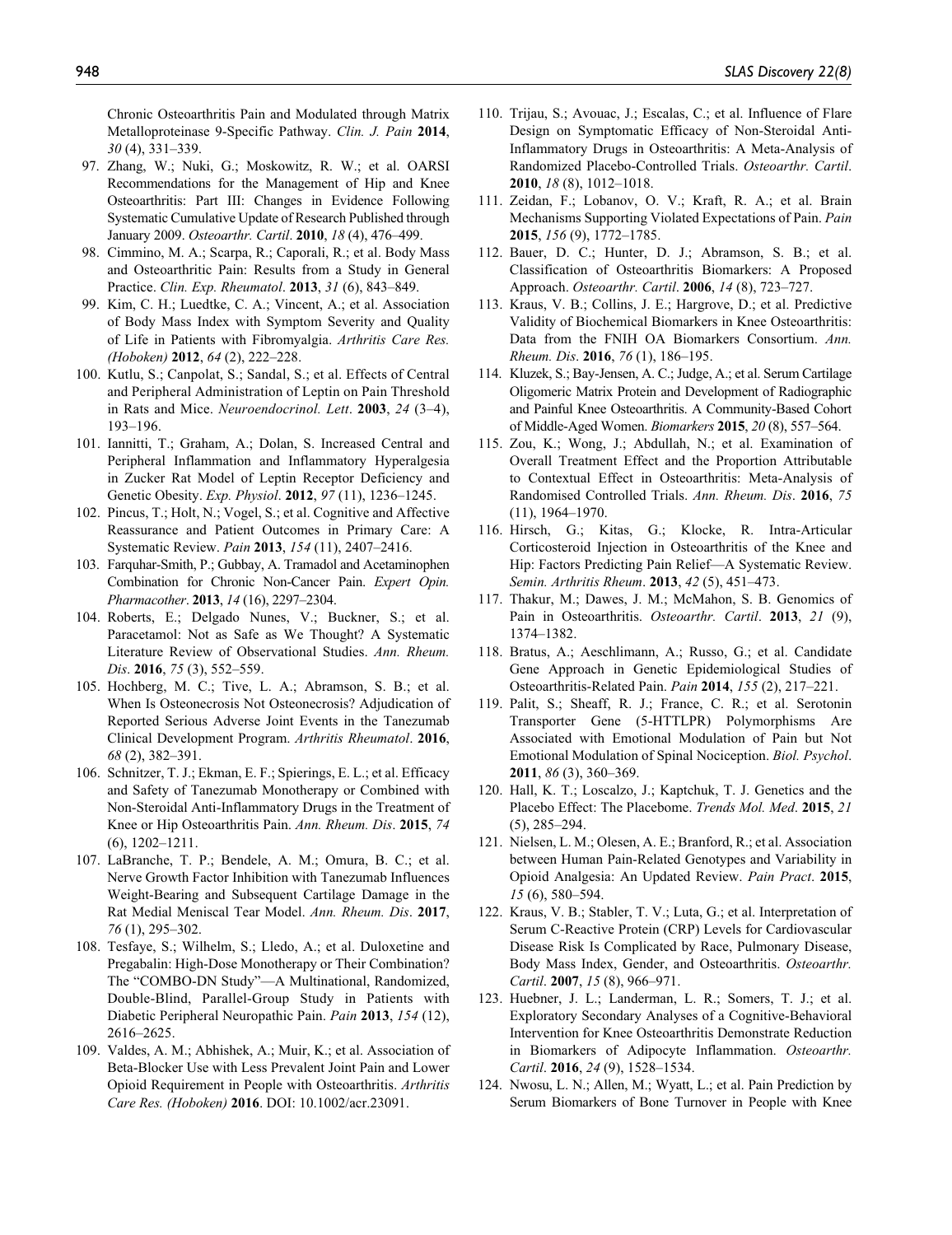Chronic Osteoarthritis Pain and Modulated through Matrix Metalloproteinase 9-Specific Pathway. *Clin. J. Pain* **2014**, *30* (4), 331–339.

- 97. Zhang, W.; Nuki, G.; Moskowitz, R. W.; et al. OARSI Recommendations for the Management of Hip and Knee Osteoarthritis: Part III: Changes in Evidence Following Systematic Cumulative Update of Research Published through January 2009. *Osteoarthr. Cartil*. **2010**, *18* (4), 476–499.
- 98. Cimmino, M. A.; Scarpa, R.; Caporali, R.; et al. Body Mass and Osteoarthritic Pain: Results from a Study in General Practice. *Clin. Exp. Rheumatol*. **2013**, *31* (6), 843–849.
- 99. Kim, C. H.; Luedtke, C. A.; Vincent, A.; et al. Association of Body Mass Index with Symptom Severity and Quality of Life in Patients with Fibromyalgia. *Arthritis Care Res. (Hoboken)* **2012**, *64* (2), 222–228.
- 100. Kutlu, S.; Canpolat, S.; Sandal, S.; et al. Effects of Central and Peripheral Administration of Leptin on Pain Threshold in Rats and Mice. *Neuroendocrinol. Lett*. **2003**, *24* (3–4), 193–196.
- 101. Iannitti, T.; Graham, A.; Dolan, S. Increased Central and Peripheral Inflammation and Inflammatory Hyperalgesia in Zucker Rat Model of Leptin Receptor Deficiency and Genetic Obesity. *Exp. Physiol*. **2012**, *97* (11), 1236–1245.
- 102. Pincus, T.; Holt, N.; Vogel, S.; et al. Cognitive and Affective Reassurance and Patient Outcomes in Primary Care: A Systematic Review. *Pain* **2013**, *154* (11), 2407–2416.
- 103. Farquhar-Smith, P.; Gubbay, A. Tramadol and Acetaminophen Combination for Chronic Non-Cancer Pain. *Expert Opin. Pharmacother*. **2013**, *14* (16), 2297–2304.
- 104. Roberts, E.; Delgado Nunes, V.; Buckner, S.; et al. Paracetamol: Not as Safe as We Thought? A Systematic Literature Review of Observational Studies. *Ann. Rheum. Dis*. **2016**, *75* (3), 552–559.
- 105. Hochberg, M. C.; Tive, L. A.; Abramson, S. B.; et al. When Is Osteonecrosis Not Osteonecrosis? Adjudication of Reported Serious Adverse Joint Events in the Tanezumab Clinical Development Program. *Arthritis Rheumatol*. **2016**, *68* (2), 382–391.
- 106. Schnitzer, T. J.; Ekman, E. F.; Spierings, E. L.; et al. Efficacy and Safety of Tanezumab Monotherapy or Combined with Non-Steroidal Anti-Inflammatory Drugs in the Treatment of Knee or Hip Osteoarthritis Pain. *Ann. Rheum. Dis*. **2015**, *74* (6), 1202–1211.
- 107. LaBranche, T. P.; Bendele, A. M.; Omura, B. C.; et al. Nerve Growth Factor Inhibition with Tanezumab Influences Weight-Bearing and Subsequent Cartilage Damage in the Rat Medial Meniscal Tear Model. *Ann. Rheum. Dis*. **2017**, *76* (1), 295–302.
- 108. Tesfaye, S.; Wilhelm, S.; Lledo, A.; et al. Duloxetine and Pregabalin: High-Dose Monotherapy or Their Combination? The "COMBO-DN Study"—A Multinational, Randomized, Double-Blind, Parallel-Group Study in Patients with Diabetic Peripheral Neuropathic Pain. *Pain* **2013**, *154* (12), 2616–2625.
- 109. Valdes, A. M.; Abhishek, A.; Muir, K.; et al. Association of Beta-Blocker Use with Less Prevalent Joint Pain and Lower Opioid Requirement in People with Osteoarthritis. *Arthritis Care Res. (Hoboken)* **2016**. DOI: 10.1002/acr.23091.
- 110. Trijau, S.; Avouac, J.; Escalas, C.; et al. Influence of Flare Design on Symptomatic Efficacy of Non-Steroidal Anti-Inflammatory Drugs in Osteoarthritis: A Meta-Analysis of Randomized Placebo-Controlled Trials. *Osteoarthr. Cartil*. **2010**, *18* (8), 1012–1018.
- 111. Zeidan, F.; Lobanov, O. V.; Kraft, R. A.; et al. Brain Mechanisms Supporting Violated Expectations of Pain. *Pain* **2015**, *156* (9), 1772–1785.
- 112. Bauer, D. C.; Hunter, D. J.; Abramson, S. B.; et al. Classification of Osteoarthritis Biomarkers: A Proposed Approach. *Osteoarthr. Cartil*. **2006**, *14* (8), 723–727.
- 113. Kraus, V. B.; Collins, J. E.; Hargrove, D.; et al. Predictive Validity of Biochemical Biomarkers in Knee Osteoarthritis: Data from the FNIH OA Biomarkers Consortium. *Ann. Rheum. Dis*. **2016**, *76* (1), 186–195.
- 114. Kluzek, S.; Bay-Jensen, A. C.; Judge, A.; et al. Serum Cartilage Oligomeric Matrix Protein and Development of Radiographic and Painful Knee Osteoarthritis. A Community-Based Cohort of Middle-Aged Women. *Biomarkers* **2015**, *20* (8), 557–564.
- 115. Zou, K.; Wong, J.; Abdullah, N.; et al. Examination of Overall Treatment Effect and the Proportion Attributable to Contextual Effect in Osteoarthritis: Meta-Analysis of Randomised Controlled Trials. *Ann. Rheum. Dis*. **2016**, *75* (11), 1964–1970.
- 116. Hirsch, G.; Kitas, G.; Klocke, R. Intra-Articular Corticosteroid Injection in Osteoarthritis of the Knee and Hip: Factors Predicting Pain Relief—A Systematic Review. *Semin. Arthritis Rheum*. **2013**, *42* (5), 451–473.
- 117. Thakur, M.; Dawes, J. M.; McMahon, S. B. Genomics of Pain in Osteoarthritis. *Osteoarthr. Cartil*. **2013**, *21* (9), 1374–1382.
- 118. Bratus, A.; Aeschlimann, A.; Russo, G.; et al. Candidate Gene Approach in Genetic Epidemiological Studies of Osteoarthritis-Related Pain. *Pain* **2014**, *155* (2), 217–221.
- 119. Palit, S.; Sheaff, R. J.; France, C. R.; et al. Serotonin Transporter Gene (5-HTTLPR) Polymorphisms Are Associated with Emotional Modulation of Pain but Not Emotional Modulation of Spinal Nociception. *Biol. Psychol*. **2011**, *86* (3), 360–369.
- 120. Hall, K. T.; Loscalzo, J.; Kaptchuk, T. J. Genetics and the Placebo Effect: The Placebome. *Trends Mol. Med*. **2015**, *21* (5), 285–294.
- 121. Nielsen, L. M.; Olesen, A. E.; Branford, R.; et al. Association between Human Pain-Related Genotypes and Variability in Opioid Analgesia: An Updated Review. *Pain Pract*. **2015**, *15* (6), 580–594.
- 122. Kraus, V. B.; Stabler, T. V.; Luta, G.; et al. Interpretation of Serum C-Reactive Protein (CRP) Levels for Cardiovascular Disease Risk Is Complicated by Race, Pulmonary Disease, Body Mass Index, Gender, and Osteoarthritis. *Osteoarthr. Cartil*. **2007**, *15* (8), 966–971.
- 123. Huebner, J. L.; Landerman, L. R.; Somers, T. J.; et al. Exploratory Secondary Analyses of a Cognitive-Behavioral Intervention for Knee Osteoarthritis Demonstrate Reduction in Biomarkers of Adipocyte Inflammation. *Osteoarthr. Cartil*. **2016**, *24* (9), 1528–1534.
- 124. Nwosu, L. N.; Allen, M.; Wyatt, L.; et al. Pain Prediction by Serum Biomarkers of Bone Turnover in People with Knee